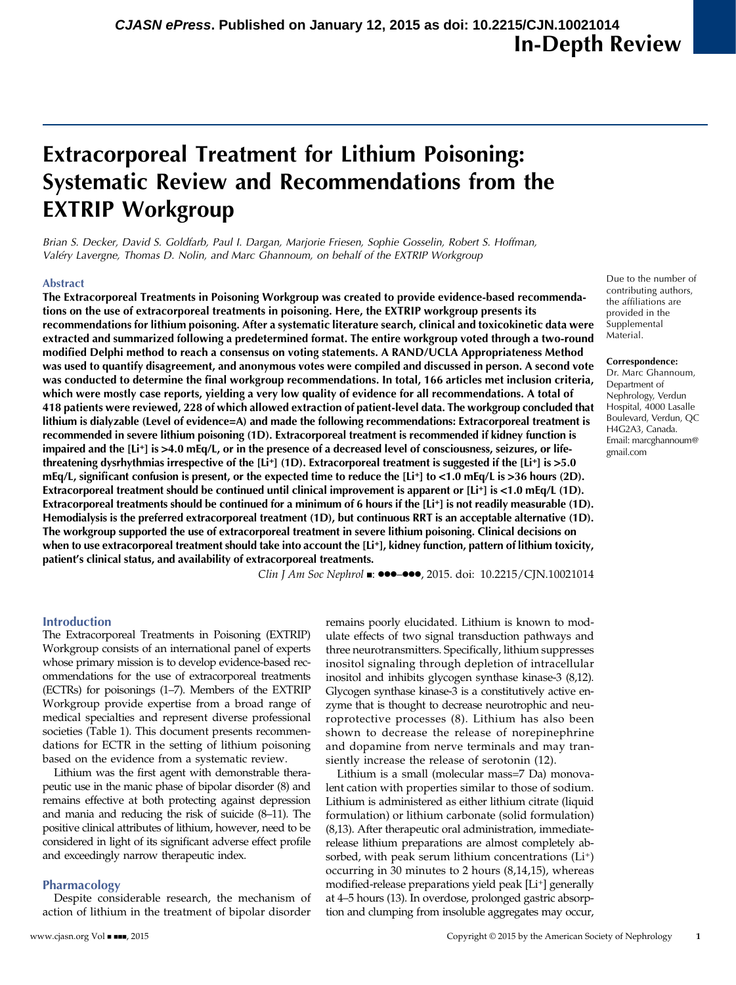# Extracorporeal Treatment for Lithium Poisoning: Systematic Review and Recommendations from the EXTRIP Workgroup

Brian S. Decker, David S. Goldfarb, Paul I. Dargan, Marjorie Friesen, Sophie Gosselin, Robert S. Hoffman, Vale<sup>ry</sup> Lavergne, Thomas D. Nolin, and Marc Ghannoum, on behalf of the EXTRIP Workgroup

# Abstract

The Extracorporeal Treatments in Poisoning Workgroup was created to provide evidence-based recommendations on the use of extracorporeal treatments in poisoning. Here, the EXTRIP workgroup presents its recommendations for lithium poisoning. After a systematic literature search, clinical and toxicokinetic data were extracted and summarized following a predetermined format. The entire workgroup voted through a two-round modified Delphi method to reach a consensus on voting statements. A RAND/UCLA Appropriateness Method was used to quantify disagreement, and anonymous votes were compiled and discussed in person. A second vote was conducted to determine the final workgroup recommendations. In total, 166 articles met inclusion criteria, which were mostly case reports, yielding a very low quality of evidence for all recommendations. A total of 418 patients were reviewed, 228 of which allowed extraction of patient-level data. The workgroup concluded that lithium is dialyzable (Level of evidence=A) and made the following recommendations: Extracorporeal treatment is recommended in severe lithium poisoning (1D). Extracorporeal treatment is recommended if kidney function is impaired and the [Li+] is >4.0 mEq/L, or in the presence of a decreased level of consciousness, seizures, or lifethreatening dysrhythmias irrespective of the [Li+] (1D). Extracorporeal treatment is suggested if the [Li+] is >5.0 mEq/L, significant confusion is present, or the expected time to reduce the  $[L^+]$  to <1.0 mEq/L is >36 hours (2D). Extracorporeal treatment should be continued until clinical improvement is apparent or [Li+] is <1.0 mEq/L (1D). Extracorporeal treatments should be continued for a minimum of 6 hours if the [Li+] is not readily measurable (1D). Hemodialysis is the preferred extracorporeal treatment (1D), but continuous RRT is an acceptable alternative (1D). The workgroup supported the use of extracorporeal treatment in severe lithium poisoning. Clinical decisions on when to use extracorporeal treatment should take into account the [Li+], kidney function, pattern of lithium toxicity, patient's clinical status, and availability of extracorporeal treatments.

Clin J Am Soc Nephrol ■: ●●●–●●●, 2015. doi: 10.2215/CJN.10021014

# Introduction

The Extracorporeal Treatments in Poisoning (EXTRIP) Workgroup consists of an international panel of experts whose primary mission is to develop evidence-based recommendations for the use of extracorporeal treatments (ECTRs) for poisonings (1–7). Members of the EXTRIP Workgroup provide expertise from a broad range of medical specialties and represent diverse professional societies (Table 1). This document presents recommendations for ECTR in the setting of lithium poisoning based on the evidence from a systematic review.

Lithium was the first agent with demonstrable therapeutic use in the manic phase of bipolar disorder (8) and remains effective at both protecting against depression and mania and reducing the risk of suicide (8–11). The positive clinical attributes of lithium, however, need to be considered in light of its significant adverse effect profile and exceedingly narrow therapeutic index.

## Pharmacology

Despite considerable research, the mechanism of action of lithium in the treatment of bipolar disorder

remains poorly elucidated. Lithium is known to modulate effects of two signal transduction pathways and three neurotransmitters. Specifically, lithium suppresses inositol signaling through depletion of intracellular inositol and inhibits glycogen synthase kinase-3 (8,12). Glycogen synthase kinase-3 is a constitutively active enzyme that is thought to decrease neurotrophic and neuroprotective processes (8). Lithium has also been shown to decrease the release of norepinephrine and dopamine from nerve terminals and may transiently increase the release of serotonin (12).

Lithium is a small (molecular mass=7 Da) monovalent cation with properties similar to those of sodium. Lithium is administered as either lithium citrate (liquid formulation) or lithium carbonate (solid formulation) (8,13). After therapeutic oral administration, immediaterelease lithium preparations are almost completely absorbed, with peak serum lithium concentrations (Li<sup>+</sup>) occurring in 30 minutes to 2 hours (8,14,15), whereas modified-release preparations yield peak [Li+] generally at 4–5 hours (13). In overdose, prolonged gastric absorption and clumping from insoluble aggregates may occur,

Due to the number of contributing authors, the affiliations are provided in the [Supplemental](http://cjasn.asnjournals.org/lookup/suppl/doi:10.2215/CJN.10021014/-/DCSupplemental) [Material.](http://cjasn.asnjournals.org/lookup/suppl/doi:10.2215/CJN.10021014/-/DCSupplemental)

#### Correspondence:

Dr. Marc Ghannoum, Department of Nephrology, Verdun Hospital, 4000 Lasalle Boulevard, Verdun, QC H4G2A3, Canada. Email: marcghannoum@ gmail.com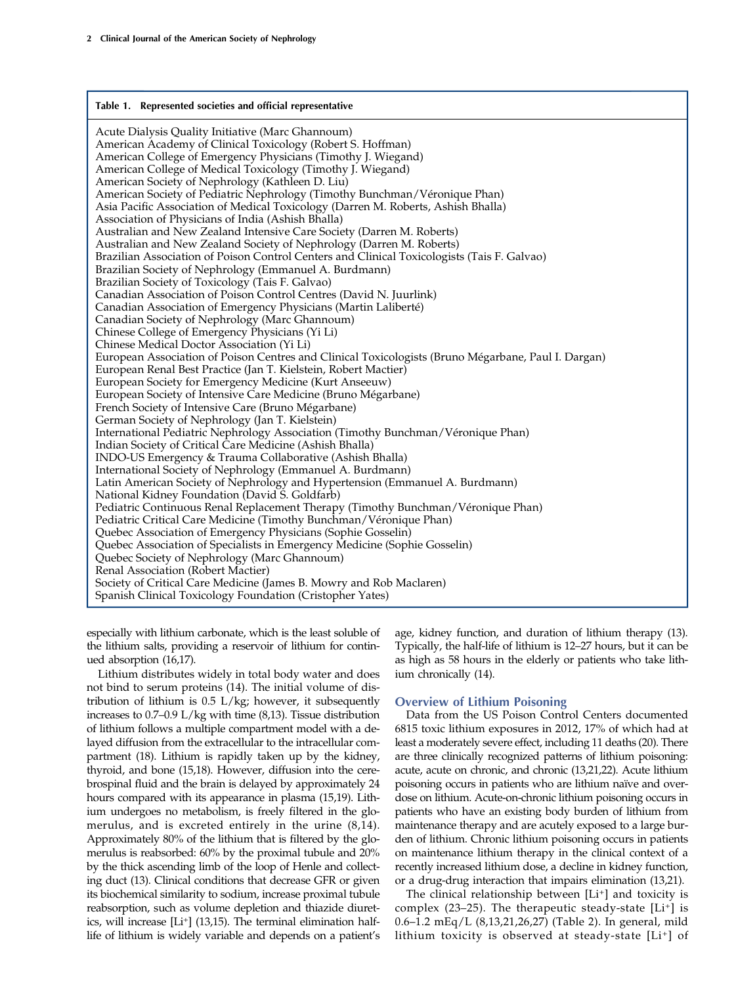# Table 1. Represented societies and official representative

Acute Dialysis Quality Initiative (Marc Ghannoum) American Academy of Clinical Toxicology (Robert S. Hoffman) American College of Emergency Physicians (Timothy J. Wiegand) American College of Medical Toxicology (Timothy J. Wiegand) American Society of Nephrology (Kathleen D. Liu) American Society of Pediatric Nephrology (Timothy Bunchman/Véronique Phan) Asia Pacific Association of Medical Toxicology (Darren M. Roberts, Ashish Bhalla) Association of Physicians of India (Ashish Bhalla) Australian and New Zealand Intensive Care Society (Darren M. Roberts) Australian and New Zealand Society of Nephrology (Darren M. Roberts) Brazilian Association of Poison Control Centers and Clinical Toxicologists (Tais F. Galvao) Brazilian Society of Nephrology (Emmanuel A. Burdmann) Brazilian Society of Toxicology (Tais F. Galvao) Canadian Association of Poison Control Centres (David N. Juurlink) Canadian Association of Emergency Physicians (Martin Laliberté) Canadian Society of Nephrology (Marc Ghannoum) Chinese College of Emergency Physicians (Yi Li) Chinese Medical Doctor Association (Yi Li) European Association of Poison Centres and Clinical Toxicologists (Bruno Mégarbane, Paul I. Dargan) European Renal Best Practice (Jan T. Kielstein, Robert Mactier) European Society for Emergency Medicine (Kurt Anseeuw) European Society of Intensive Care Medicine (Bruno Mégarbane) French Society of Intensive Care (Bruno Mégarbane) German Society of Nephrology (Jan T. Kielstein) International Pediatric Nephrology Association (Timothy Bunchman/Véronique Phan) Indian Society of Critical Care Medicine (Ashish Bhalla) INDO-US Emergency & Trauma Collaborative (Ashish Bhalla) International Society of Nephrology (Emmanuel A. Burdmann) Latin American Society of Nephrology and Hypertension (Emmanuel A. Burdmann) National Kidney Foundation (David S. Goldfarb) Pediatric Continuous Renal Replacement Therapy (Timothy Bunchman/Véronique Phan) Pediatric Critical Care Medicine (Timothy Bunchman/Véronique Phan) Quebec Association of Emergency Physicians (Sophie Gosselin) Quebec Association of Specialists in Emergency Medicine (Sophie Gosselin) Quebec Society of Nephrology (Marc Ghannoum) Renal Association (Robert Mactier) Society of Critical Care Medicine (James B. Mowry and Rob Maclaren) Spanish Clinical Toxicology Foundation (Cristopher Yates)

especially with lithium carbonate, which is the least soluble of the lithium salts, providing a reservoir of lithium for continued absorption (16,17).

Lithium distributes widely in total body water and does not bind to serum proteins (14). The initial volume of distribution of lithium is  $0.5$  L/kg; however, it subsequently increases to 0.7–0.9 L/kg with time (8,13). Tissue distribution of lithium follows a multiple compartment model with a delayed diffusion from the extracellular to the intracellular compartment (18). Lithium is rapidly taken up by the kidney, thyroid, and bone (15,18). However, diffusion into the cerebrospinal fluid and the brain is delayed by approximately 24 hours compared with its appearance in plasma (15,19). Lithium undergoes no metabolism, is freely filtered in the glomerulus, and is excreted entirely in the urine (8,14). Approximately 80% of the lithium that is filtered by the glomerulus is reabsorbed: 60% by the proximal tubule and 20% by the thick ascending limb of the loop of Henle and collecting duct (13). Clinical conditions that decrease GFR or given its biochemical similarity to sodium, increase proximal tubule reabsorption, such as volume depletion and thiazide diuretics, will increase [Li+] (13,15). The terminal elimination halflife of lithium is widely variable and depends on a patient's age, kidney function, and duration of lithium therapy (13). Typically, the half-life of lithium is 12–27 hours, but it can be as high as 58 hours in the elderly or patients who take lithium chronically (14).

# Overview of Lithium Poisoning

Data from the US Poison Control Centers documented 6815 toxic lithium exposures in 2012, 17% of which had at least a moderately severe effect, including 11 deaths (20). There are three clinically recognized patterns of lithium poisoning: acute, acute on chronic, and chronic (13,21,22). Acute lithium poisoning occurs in patients who are lithium naïve and overdose on lithium. Acute-on-chronic lithium poisoning occurs in patients who have an existing body burden of lithium from maintenance therapy and are acutely exposed to a large burden of lithium. Chronic lithium poisoning occurs in patients on maintenance lithium therapy in the clinical context of a recently increased lithium dose, a decline in kidney function, or a drug-drug interaction that impairs elimination (13,21).

The clinical relationship between [Li<sup>+</sup>] and toxicity is complex  $(23-25)$ . The therapeutic steady-state [Li<sup>+</sup>] is 0.6–1.2 mEq/L (8,13,21,26,27) (Table 2). In general, mild lithium toxicity is observed at steady-state [Li+] of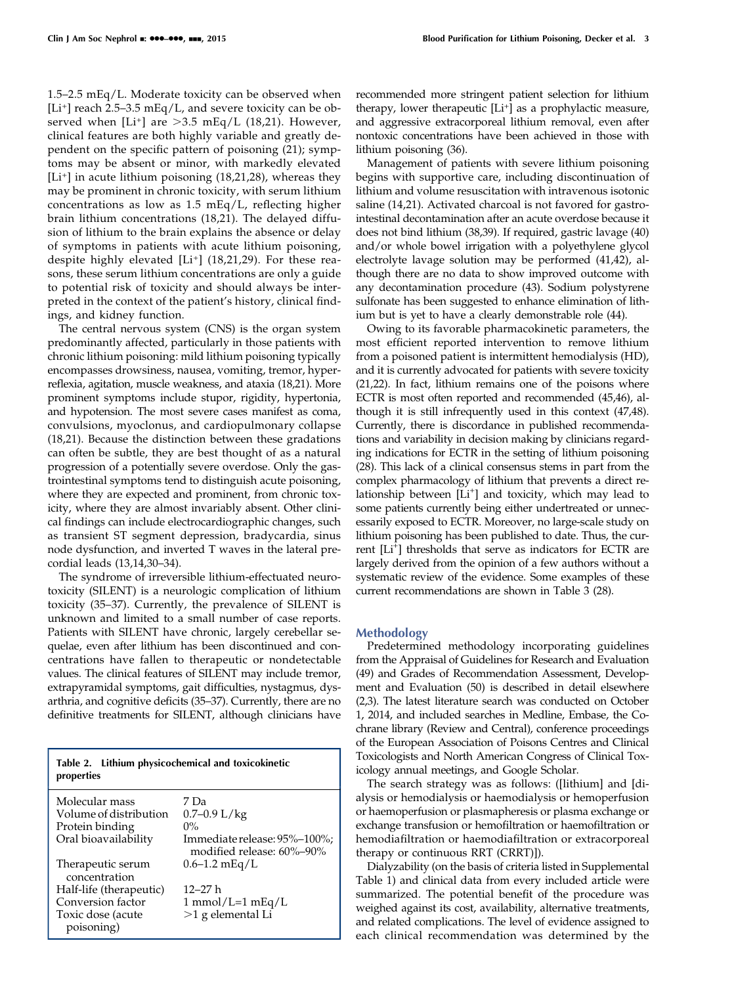1.5–2.5 mEq/L. Moderate toxicity can be observed when [ $Li<sup>+</sup>$ ] reach 2.5–3.5 mEq/L, and severe toxicity can be observed when  $[L^+]$  are  $>3.5$  mEq/L (18,21). However, clinical features are both highly variable and greatly dependent on the specific pattern of poisoning (21); symptoms may be absent or minor, with markedly elevated [Li<sup>+</sup>] in acute lithium poisoning (18,21,28), whereas they may be prominent in chronic toxicity, with serum lithium concentrations as low as 1.5 mEq/L, reflecting higher brain lithium concentrations (18,21). The delayed diffusion of lithium to the brain explains the absence or delay of symptoms in patients with acute lithium poisoning, despite highly elevated [Li+] (18,21,29). For these reasons, these serum lithium concentrations are only a guide to potential risk of toxicity and should always be interpreted in the context of the patient's history, clinical findings, and kidney function.

The central nervous system (CNS) is the organ system predominantly affected, particularly in those patients with chronic lithium poisoning: mild lithium poisoning typically encompasses drowsiness, nausea, vomiting, tremor, hyperreflexia, agitation, muscle weakness, and ataxia (18,21). More prominent symptoms include stupor, rigidity, hypertonia, and hypotension. The most severe cases manifest as coma, convulsions, myoclonus, and cardiopulmonary collapse (18,21). Because the distinction between these gradations can often be subtle, they are best thought of as a natural progression of a potentially severe overdose. Only the gastrointestinal symptoms tend to distinguish acute poisoning, where they are expected and prominent, from chronic toxicity, where they are almost invariably absent. Other clinical findings can include electrocardiographic changes, such as transient ST segment depression, bradycardia, sinus node dysfunction, and inverted T waves in the lateral precordial leads (13,14,30–34).

The syndrome of irreversible lithium-effectuated neurotoxicity (SILENT) is a neurologic complication of lithium toxicity (35–37). Currently, the prevalence of SILENT is unknown and limited to a small number of case reports. Patients with SILENT have chronic, largely cerebellar sequelae, even after lithium has been discontinued and concentrations have fallen to therapeutic or nondetectable values. The clinical features of SILENT may include tremor, extrapyramidal symptoms, gait difficulties, nystagmus, dysarthria, and cognitive deficits (35–37). Currently, there are no definitive treatments for SILENT, although clinicians have

| Table 2. Lithium physicochemical and toxicokinetic<br>properties |                                                           |
|------------------------------------------------------------------|-----------------------------------------------------------|
| Molecular mass                                                   | 7 Da                                                      |
| Volume of distribution                                           | $0.7 - 0.9$ L/kg                                          |
| Protein binding                                                  | $0\%$                                                     |
| Oral bioavailability                                             | Immediate release: 95%-100%;<br>modified release: 60%-90% |
| Therapeutic serum<br>concentration                               | $0.6 - 1.2$ mEq/L                                         |
| Half-life (therapeutic)                                          | $12 - 27 h$                                               |
| Conversion factor                                                | $1$ mmol/L=1 mEq/L                                        |
| Toxic dose (acute<br>poisoning)                                  | $>1$ g elemental Li                                       |

recommended more stringent patient selection for lithium therapy, lower therapeutic [Li+] as a prophylactic measure, and aggressive extracorporeal lithium removal, even after nontoxic concentrations have been achieved in those with lithium poisoning (36).

Management of patients with severe lithium poisoning begins with supportive care, including discontinuation of lithium and volume resuscitation with intravenous isotonic saline (14,21). Activated charcoal is not favored for gastrointestinal decontamination after an acute overdose because it does not bind lithium (38,39). If required, gastric lavage (40) and/or whole bowel irrigation with a polyethylene glycol electrolyte lavage solution may be performed (41,42), although there are no data to show improved outcome with any decontamination procedure (43). Sodium polystyrene sulfonate has been suggested to enhance elimination of lithium but is yet to have a clearly demonstrable role (44).

Owing to its favorable pharmacokinetic parameters, the most efficient reported intervention to remove lithium from a poisoned patient is intermittent hemodialysis (HD), and it is currently advocated for patients with severe toxicity (21,22). In fact, lithium remains one of the poisons where ECTR is most often reported and recommended (45,46), although it is still infrequently used in this context (47,48). Currently, there is discordance in published recommendations and variability in decision making by clinicians regarding indications for ECTR in the setting of lithium poisoning (28). This lack of a clinical consensus stems in part from the complex pharmacology of lithium that prevents a direct relationship between [Li<sup>+</sup>] and toxicity, which may lead to some patients currently being either undertreated or unnecessarily exposed to ECTR. Moreover, no large-scale study on lithium poisoning has been published to date. Thus, the current [Li<sup>+</sup>] thresholds that serve as indicators for ECTR are largely derived from the opinion of a few authors without a systematic review of the evidence. Some examples of these current recommendations are shown in Table 3 (28).

#### Methodology

Predetermined methodology incorporating guidelines from the Appraisal of Guidelines for Research and Evaluation (49) and Grades of Recommendation Assessment, Development and Evaluation (50) is described in detail elsewhere (2,3). The latest literature search was conducted on October 1, 2014, and included searches in Medline, Embase, the Cochrane library (Review and Central), conference proceedings of the European Association of Poisons Centres and Clinical Toxicologists and North American Congress of Clinical Toxicology annual meetings, and Google Scholar.

The search strategy was as follows: ([lithium] and [dialysis or hemodialysis or haemodialysis or hemoperfusion or haemoperfusion or plasmapheresis or plasma exchange or exchange transfusion or hemofiltration or haemofiltration or hemodiafiltration or haemodiafiltration or extracorporeal therapy or continuous RRT (CRRT)]).

Dialyzability (on the basis of criteria listed in [Supplemental](http://cjasn.asnjournals.org/lookup/suppl/doi:10.2215/CJN.10021014/-/DCSupplemental) [Table 1\)](http://cjasn.asnjournals.org/lookup/suppl/doi:10.2215/CJN.10021014/-/DCSupplemental) and clinical data from every included article were summarized. The potential benefit of the procedure was weighed against its cost, availability, alternative treatments, and related complications. The level of evidence assigned to each clinical recommendation was determined by the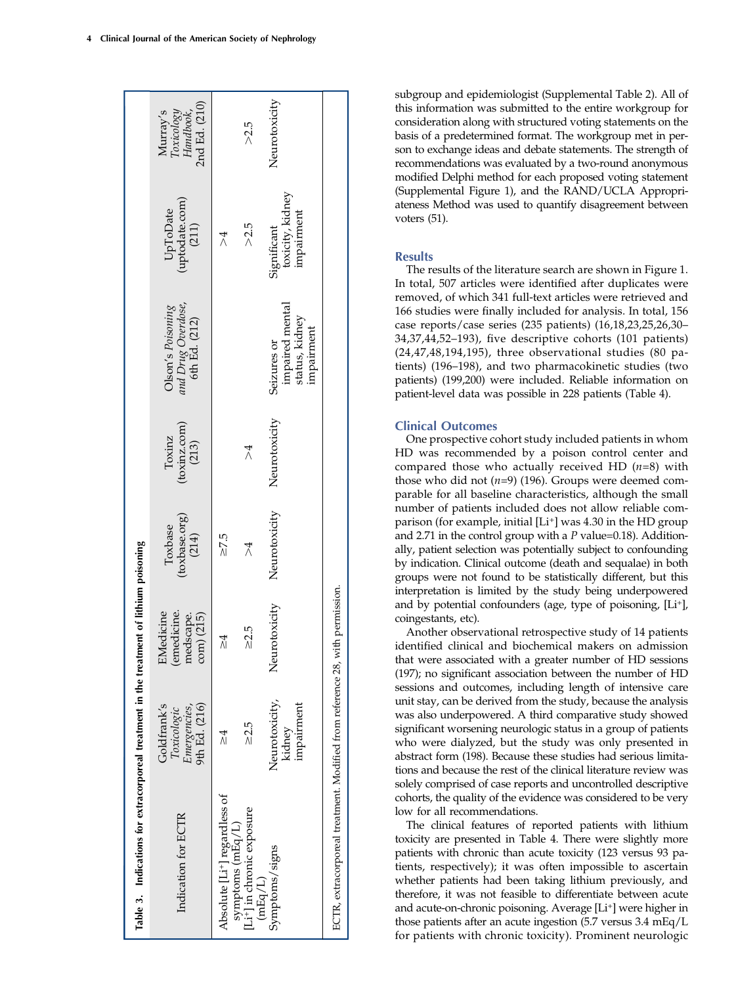| Table 3. Indications for extracorporeal treatment in the treatment of lithium poisoning |                                                                    |                                                   |                                   |                                     |                                                                |                                               |                                                      |
|-----------------------------------------------------------------------------------------|--------------------------------------------------------------------|---------------------------------------------------|-----------------------------------|-------------------------------------|----------------------------------------------------------------|-----------------------------------------------|------------------------------------------------------|
| Indication for ECTR                                                                     | Goldfrank's<br>9th Ed. (216)<br>Emergencies,<br><b>Toxicologic</b> | emedicine.<br>EMedicine<br>redscape.<br>om) (215) | (toxbase.org)<br>(214)<br>Toxbase | $(toxinz.com)$<br>$(213)$<br>Toxinz | and Drug Overdose,<br>6th Ed. (212)<br>Olson's Poisoning       | UpToDate<br>(uptodate.com)<br>(211)           | 2nd Ed. (210)<br>Murray's<br>Toxicology<br>Handbook, |
| Absolute [Li <sup>+</sup> ] regardless of                                               | .<br>시                                                             | $\frac{4}{3}$                                     | $\leq$ 7.5                        |                                     |                                                                | $\frac{4}{\lambda}$                           |                                                      |
| symptoms $(mEq/L)$<br>[Li+] in chronic exposure<br>(mEq/L)                              | $\geq 2.5$                                                         | $\geq 2.5$                                        | $\lambda$                         | $\lambda$                           |                                                                | >2.5                                          | >2.5                                                 |
| Symptoms/signs                                                                          | Neurotoxicity,<br>impairment<br>kidney                             | Neurotoxicity                                     | Neurotoxicity                     | Neurotoxicity                       | impaired mental<br>status, kidney<br>impairment<br>Seizures or | Significant<br>toxicity, kidney<br>impairment | Neurotoxicity                                        |
| ECTR, extracorporeal treatment. Modified from reference 28, with permission.            |                                                                    |                                                   |                                   |                                     |                                                                |                                               |                                                      |

subgroup and epidemiologist ([Supplemental Table 2\)](http://cjasn.asnjournals.org/lookup/suppl/doi:10.2215/CJN.10021014/-/DCSupplemental). All of this information was submitted to the entire workgroup for consideration along with structured voting statements on the basis of a predetermined format. The workgroup met in person to exchange ideas and debate statements. The strength of recommendations was evaluated by a two-round anonymous modified Delphi method for each proposed voting statement ([Supplemental Figure 1](http://cjasn.asnjournals.org/lookup/suppl/doi:10.2215/CJN.10021014/-/DCSupplemental)), and the RAND/UCLA Appropriateness Method was used to quantify disagreement between voters (51).

# **Results**

The results of the literature search are shown in Figure 1. In total, 507 articles were identified after duplicates were removed, of which 341 full-text articles were retrieved and 166 studies were finally included for analysis. In total, 156 case reports/case series (235 patients) (16,18,23,25,26,30– 34,37,44,52–193), five descriptive cohorts (101 patients) (24,47,48,194,195), three observational studies (80 patients) (196–198), and two pharmacokinetic studies (two patients) (199,200) were included. Reliable information on patient-level data was possible in 228 patients (Table 4).

# Clinical Outcomes

One prospective cohort study included patients in whom HD was recommended by a poison control center and compared those who actually received HD  $(n=8)$  with those who did not  $(n=9)$  (196). Groups were deemed comparable for all baseline characteristics, although the small number of patients included does not allow reliable comparison (for example, initial [Li+] was 4.30 in the HD group and 2.71 in the control group with a  $P$  value=0.18). Additionally, patient selection was potentially subject to confounding by indication. Clinical outcome (death and sequalae) in both groups were not found to be statistically different, but this interpretation is limited by the study being underpowered and by potential confounders (age, type of poisoning, [Li+], coingestants, etc).

Another observational retrospective study of 14 patients identified clinical and biochemical makers on admission that were associated with a greater number of HD sessions (197); no significant association between the number of HD sessions and outcomes, including length of intensive care unit stay, can be derived from the study, because the analysis was also underpowered. A third comparative study showed significant worsening neurologic status in a group of patients who were dialyzed, but the study was only presented in abstract form (198). Because these studies had serious limitations and because the rest of the clinical literature review was solely comprised of case reports and uncontrolled descriptive cohorts, the quality of the evidence was considered to be very low for all recommendations.

The clinical features of reported patients with lithium toxicity are presented in Table 4. There were slightly more patients with chronic than acute toxicity (123 versus 93 patients, respectively); it was often impossible to ascertain whether patients had been taking lithium previously, and therefore, it was not feasible to differentiate between acute and acute-on-chronic poisoning. Average [Li+] were higher in those patients after an acute ingestion (5.7 versus 3.4 mEq/L for patients with chronic toxicity). Prominent neurologic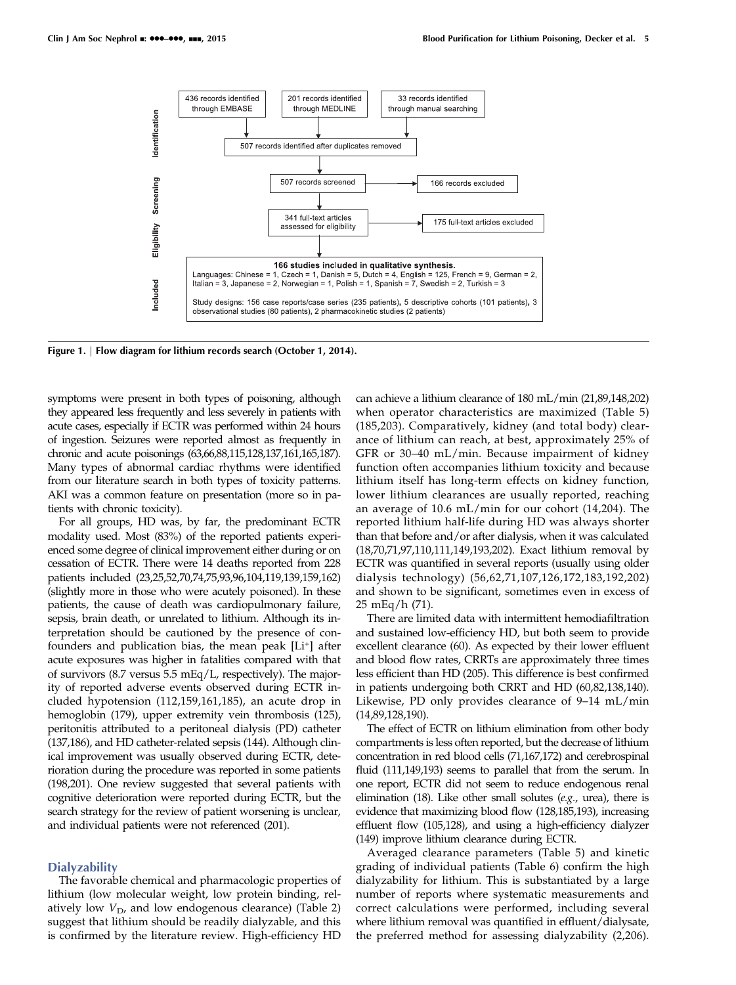

Figure 1. | Flow diagram for lithium records search (October 1, 2014).

symptoms were present in both types of poisoning, although they appeared less frequently and less severely in patients with acute cases, especially if ECTR was performed within 24 hours of ingestion. Seizures were reported almost as frequently in chronic and acute poisonings (63,66,88,115,128,137,161,165,187). Many types of abnormal cardiac rhythms were identified from our literature search in both types of toxicity patterns. AKI was a common feature on presentation (more so in patients with chronic toxicity).

For all groups, HD was, by far, the predominant ECTR modality used. Most (83%) of the reported patients experienced some degree of clinical improvement either during or on cessation of ECTR. There were 14 deaths reported from 228 patients included (23,25,52,70,74,75,93,96,104,119,139,159,162) (slightly more in those who were acutely poisoned). In these patients, the cause of death was cardiopulmonary failure, sepsis, brain death, or unrelated to lithium. Although its interpretation should be cautioned by the presence of confounders and publication bias, the mean peak [Li+] after acute exposures was higher in fatalities compared with that of survivors (8.7 versus 5.5 mEq/L, respectively). The majority of reported adverse events observed during ECTR included hypotension (112,159,161,185), an acute drop in hemoglobin (179), upper extremity vein thrombosis (125), peritonitis attributed to a peritoneal dialysis (PD) catheter (137,186), and HD catheter-related sepsis (144). Although clinical improvement was usually observed during ECTR, deterioration during the procedure was reported in some patients (198,201). One review suggested that several patients with cognitive deterioration were reported during ECTR, but the search strategy for the review of patient worsening is unclear, and individual patients were not referenced (201).

## **Dialyzability**

The favorable chemical and pharmacologic properties of lithium (low molecular weight, low protein binding, relatively low  $V<sub>D</sub>$ , and low endogenous clearance) (Table 2) suggest that lithium should be readily dialyzable, and this is confirmed by the literature review. High-efficiency HD

can achieve a lithium clearance of 180 mL/min (21,89,148,202) when operator characteristics are maximized (Table 5) (185,203). Comparatively, kidney (and total body) clearance of lithium can reach, at best, approximately 25% of GFR or 30–40 mL/min. Because impairment of kidney function often accompanies lithium toxicity and because lithium itself has long-term effects on kidney function, lower lithium clearances are usually reported, reaching an average of 10.6 mL/min for our cohort (14,204). The reported lithium half-life during HD was always shorter than that before and/or after dialysis, when it was calculated (18,70,71,97,110,111,149,193,202). Exact lithium removal by ECTR was quantified in several reports (usually using older dialysis technology) (56,62,71,107,126,172,183,192,202) and shown to be significant, sometimes even in excess of 25 mEq/h (71).

There are limited data with intermittent hemodiafiltration and sustained low-efficiency HD, but both seem to provide excellent clearance (60). As expected by their lower effluent and blood flow rates, CRRTs are approximately three times less efficient than HD (205). This difference is best confirmed in patients undergoing both CRRT and HD (60,82,138,140). Likewise, PD only provides clearance of 9–14 mL/min (14,89,128,190).

The effect of ECTR on lithium elimination from other body compartments is less often reported, but the decrease of lithium concentration in red blood cells (71,167,172) and cerebrospinal fluid (111,149,193) seems to parallel that from the serum. In one report, ECTR did not seem to reduce endogenous renal elimination (18). Like other small solutes (e.g., urea), there is evidence that maximizing blood flow (128,185,193), increasing effluent flow (105,128), and using a high-efficiency dialyzer (149) improve lithium clearance during ECTR.

Averaged clearance parameters (Table 5) and kinetic grading of individual patients (Table 6) confirm the high dialyzability for lithium. This is substantiated by a large number of reports where systematic measurements and correct calculations were performed, including several where lithium removal was quantified in effluent/dialysate, the preferred method for assessing dialyzability (2,206).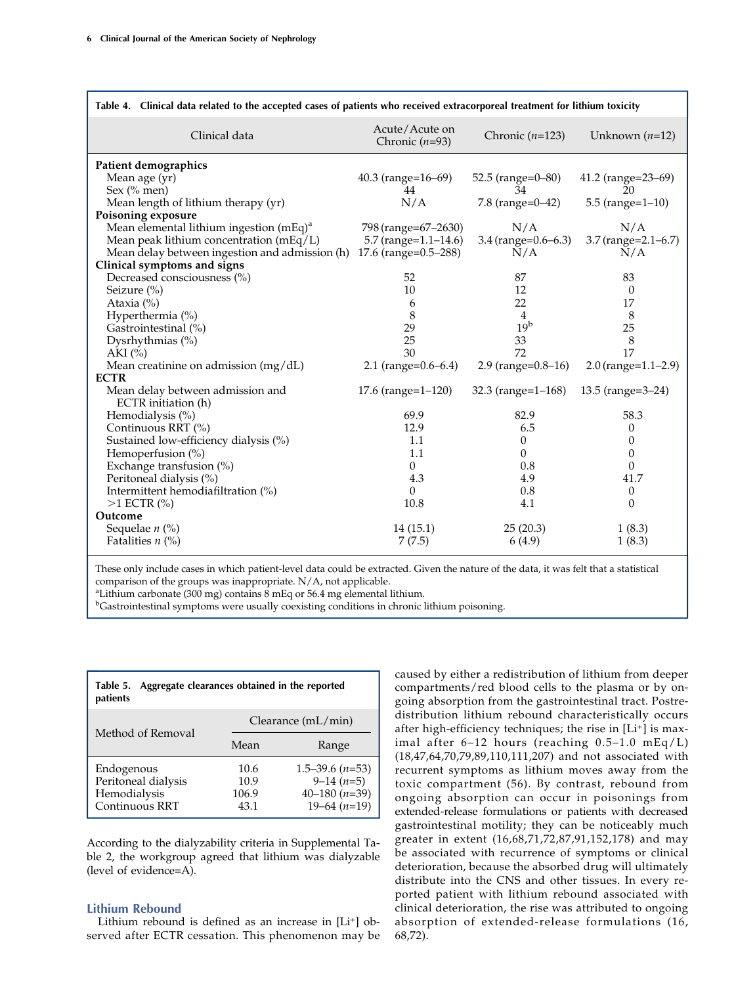| Table 4. Clinical data related to the accepted cases of patients who received extracorporeal treatment for lithium toxicity |                                    |                          |                           |
|-----------------------------------------------------------------------------------------------------------------------------|------------------------------------|--------------------------|---------------------------|
| Clinical data                                                                                                               | Acute/Acute on<br>Chronic $(n=93)$ | Chronic $(n=123)$        | Unknown $(n=12)$          |
| Patient demographics                                                                                                        |                                    |                          |                           |
| Mean age (yr)                                                                                                               | $40.3$ (range= $16-69$ )           | $52.5$ (range= $0-80$ )  | 41.2 (range=23-69)        |
| Sex $(\%$ men)                                                                                                              | 44                                 | 34                       | 20                        |
| Mean length of lithium therapy (yr)                                                                                         | N/A                                | 7.8 (range=0-42)         | $5.5$ (range= $1-10$ )    |
| Poisoning exposure                                                                                                          |                                    |                          |                           |
| Mean elemental lithium ingestion (mEq) <sup>a</sup>                                                                         | 798 (range=67-2630)                | N/A                      | N/A                       |
| Mean peak lithium concentration (mEq $/L$ )                                                                                 | 5.7 (range=1.1-14.6)               | 3.4 (range=0.6–6.3)      | 3.7 (range=2.1-6.7)       |
| Mean delay between ingestion and admission (h)                                                                              | 17.6 (range=0.5–288)               | N/A                      | N/A                       |
| Clinical symptoms and signs                                                                                                 |                                    |                          |                           |
| Decreased consciousness (%)                                                                                                 | 52                                 | 87                       | 83                        |
| Seizure (%)                                                                                                                 | 10                                 | 12                       | $\theta$                  |
| Ataxia $(\%)$                                                                                                               | 6                                  | 22                       | 17                        |
| Hyperthermia (%)                                                                                                            | 8                                  | 4                        | $\,8\,$                   |
| Gastrointestinal (%)                                                                                                        | 29                                 | 19 <sup>b</sup>          | 25                        |
| Dysrhythmias (%)                                                                                                            | 25                                 | 33                       | 8                         |
| $AKI$ (%)                                                                                                                   | 30                                 | 72                       | 17                        |
| Mean creatinine on admission (mg/dL)                                                                                        | 2.1 (range= $0.6-6.4$ )            | 2.9 (range= $0.8-16$ )   | $2.0$ (range= $1.1-2.9$ ) |
| <b>ECTR</b>                                                                                                                 |                                    |                          |                           |
| Mean delay between admission and                                                                                            | $17.6$ (range= $1-120$ )           | $32.3$ (range= $1-168$ ) | $13.5$ (range= $3-24$ )   |
| ECTR initiation (h)                                                                                                         |                                    |                          |                           |
| Hemodialysis (%)                                                                                                            | 69.9                               | 82.9                     | 58.3                      |
| Continuous RRT (%)                                                                                                          | 12.9                               | 6.5                      | 0                         |
| Sustained low-efficiency dialysis (%)                                                                                       | 1.1                                | $\mathbf{0}$             | $\mathbf{0}$              |
| Hemoperfusion (%)                                                                                                           | 1.1                                | $\theta$                 | $\mathbf{0}$              |
| Exchange transfusion (%)                                                                                                    | $\overline{0}$                     | 0.8                      | $\theta$                  |
| Peritoneal dialysis (%)                                                                                                     | 4.3                                | 4.9                      | 41.7                      |
| Intermittent hemodiafiltration (%)                                                                                          | $\Omega$                           | 0.8                      | 0                         |
| $>1$ ECTR $(\% )$                                                                                                           | 10.8                               | 4.1                      | $\theta$                  |
| Outcome                                                                                                                     |                                    |                          |                           |
| Sequelae $n$ (%)                                                                                                            | 14(15.1)                           | 25(20.3)                 | 1(8.3)                    |
| Fatalities $n$ (%)                                                                                                          | 7(7.5)                             | 6(4.9)                   | 1(8.3)                    |

These only include cases in which patient-level data could be extracted. Given the nature of the data, it was felt that a statistical comparison of the groups was inappropriate. N/A, not applicable.

<sup>a</sup>Lithium carbonate (300 mg) contains 8 mEq or 56.4 mg elemental lithium.

<sup>b</sup>Gastrointestinal symptoms were usually coexisting conditions in chronic lithium poisoning.

| Aggregate clearances obtained in the reported<br>Table 5.<br>patients      |                               |                                                                               |  |  |
|----------------------------------------------------------------------------|-------------------------------|-------------------------------------------------------------------------------|--|--|
| Method of Removal                                                          | Clearance $(mL/min)$          |                                                                               |  |  |
|                                                                            | Mean                          | Range                                                                         |  |  |
| Endogenous<br>Peritoneal dialysis<br>Hemodialysis<br><b>Continuous RRT</b> | 10.6<br>10.9<br>106.9<br>43.1 | $1.5 - 39.6$ $(n=53)$<br>$9-14(n=5)$<br>40-180 $(n=39)$<br>$19 - 64$ $(n=19)$ |  |  |

According to the dialyzability criteria in [Supplemental Ta](http://cjasn.asnjournals.org/lookup/suppl/doi:10.2215/CJN.10021014/-/DCSupplemental)[ble 2,](http://cjasn.asnjournals.org/lookup/suppl/doi:10.2215/CJN.10021014/-/DCSupplemental) the workgroup agreed that lithium was dialyzable (level of evidence=A).

# Lithium Rebound

Lithium rebound is defined as an increase in [Li+] observed after ECTR cessation. This phenomenon may be caused by either a redistribution of lithium from deeper compartments/red blood cells to the plasma or by ongoing absorption from the gastrointestinal tract. Postredistribution lithium rebound characteristically occurs after high-efficiency techniques; the rise in [Li+] is maximal after 6–12 hours (reaching 0.5–1.0 mEq/L) (18,47,64,70,79,89,110,111,207) and not associated with recurrent symptoms as lithium moves away from the toxic compartment (56). By contrast, rebound from ongoing absorption can occur in poisonings from extended-release formulations or patients with decreased gastrointestinal motility; they can be noticeably much greater in extent (16,68,71,72,87,91,152,178) and may be associated with recurrence of symptoms or clinical deterioration, because the absorbed drug will ultimately distribute into the CNS and other tissues. In every reported patient with lithium rebound associated with clinical deterioration, the rise was attributed to ongoing absorption of extended-release formulations (16, 68,72).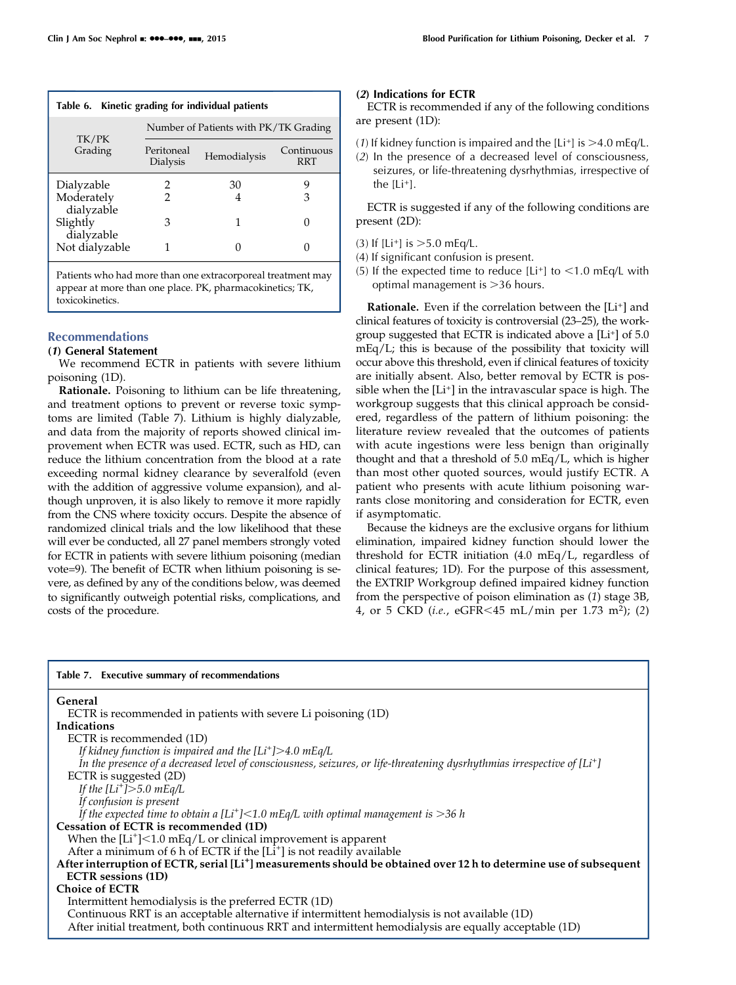|                          | Table 6. Kinetic grading for individual patients |              |                          |  |  |
|--------------------------|--------------------------------------------------|--------------|--------------------------|--|--|
| TK/PK                    | Number of Patients with PK/TK Grading            |              |                          |  |  |
| Grading                  | Peritoneal<br>Dialysis                           | Hemodialysis | Continuous<br><b>RRT</b> |  |  |
| Dialyzable               |                                                  | 30           |                          |  |  |
| Moderately<br>dialyzable | 2                                                | 4            | З                        |  |  |
| Slightly<br>dialyzable   | З                                                |              |                          |  |  |
| Not dialyzable           |                                                  |              |                          |  |  |

Patients who had more than one extracorporeal treatment may appear at more than one place. PK, pharmacokinetics; TK, toxicokinetics.

# Recommendations

#### (1) General Statement

We recommend ECTR in patients with severe lithium poisoning (1D).

Rationale. Poisoning to lithium can be life threatening, and treatment options to prevent or reverse toxic symptoms are limited (Table 7). Lithium is highly dialyzable, and data from the majority of reports showed clinical improvement when ECTR was used. ECTR, such as HD, can reduce the lithium concentration from the blood at a rate exceeding normal kidney clearance by severalfold (even with the addition of aggressive volume expansion), and although unproven, it is also likely to remove it more rapidly from the CNS where toxicity occurs. Despite the absence of randomized clinical trials and the low likelihood that these will ever be conducted, all 27 panel members strongly voted for ECTR in patients with severe lithium poisoning (median vote=9). The benefit of ECTR when lithium poisoning is severe, as defined by any of the conditions below, was deemed to significantly outweigh potential risks, complications, and costs of the procedure.

#### (2) Indications for ECTR

ECTR is recommended if any of the following conditions are present (1D):

(1) If kidney function is impaired and the  $[L^+]$  is  $>4.0$  mEq/L.

(2) In the presence of a decreased level of consciousness, seizures, or life-threatening dysrhythmias, irrespective of the [Li+].

ECTR is suggested if any of the following conditions are present (2D):

- (3) If [Li<sup>+</sup>] is  $>5.0$  mEq/L.
- (4) If significant confusion is present.
- (5) If the expected time to reduce  $[Li^+]$  to <1.0 mEq/L with optimal management is  $>$ 36 hours.

Rationale. Even if the correlation between the [Li+] and clinical features of toxicity is controversial (23–25), the workgroup suggested that ECTR is indicated above a [Li+] of 5.0 mEq/L; this is because of the possibility that toxicity will occur above this threshold, even if clinical features of toxicity are initially absent. Also, better removal by ECTR is possible when the [Li+] in the intravascular space is high. The workgroup suggests that this clinical approach be considered, regardless of the pattern of lithium poisoning: the literature review revealed that the outcomes of patients with acute ingestions were less benign than originally thought and that a threshold of 5.0 mEq/L, which is higher than most other quoted sources, would justify ECTR. A patient who presents with acute lithium poisoning warrants close monitoring and consideration for ECTR, even if asymptomatic.

Because the kidneys are the exclusive organs for lithium elimination, impaired kidney function should lower the threshold for ECTR initiation (4.0 mEq/L, regardless of clinical features; 1D). For the purpose of this assessment, the EXTRIP Workgroup defined impaired kidney function from the perspective of poison elimination as (1) stage 3B, 4, or 5 CKD (*i.e.*, eGFR $\leq$ 45 mL/min per 1.73 m<sup>2</sup>); (2)

# Table 7. Executive summary of recommendations

## General

| ECTR is recommended in patients with severe Li poisoning (1D)                                                                  |
|--------------------------------------------------------------------------------------------------------------------------------|
| <b>Indications</b>                                                                                                             |
| ECTR is recommended (1D)                                                                                                       |
| If kidney function is impaired and the $[L+] > 4.0$ mEq/L                                                                      |
| In the presence of a decreased level of consciousness, seizures, or life-threatening dysrhythmias irrespective of $[L_i^+]$    |
| ECTR is suggested (2D)                                                                                                         |
| If the $[Li^+] > 5.0$ mEq/L                                                                                                    |
| If confusion is present                                                                                                        |
| If the expected time to obtain a [Li <sup>+</sup> ]<1.0 mEq/L with optimal management is >36 h                                 |
| Cessation of ECTR is recommended (1D)                                                                                          |
| When the $[L+] < 1.0$ mEq/L or clinical improvement is apparent                                                                |
| After a minimum of 6 h of ECTR if the $[L+]$ is not readily available                                                          |
| After interruption of ECTR, serial [Li <sup>+</sup> ] measurements should be obtained over 12 h to determine use of subsequent |
| <b>ECTR</b> sessions (1D)                                                                                                      |
| <b>Choice of ECTR</b>                                                                                                          |
| Intermittent hemodialysis is the preferred ECTR (1D)                                                                           |
| Continuous RRT is an acceptable alternative if intermittent hemodialysis is not available (1D)                                 |
| After initial treatment, both continuous RRT and intermittent hemodialysis are equally acceptable (1D)                         |
|                                                                                                                                |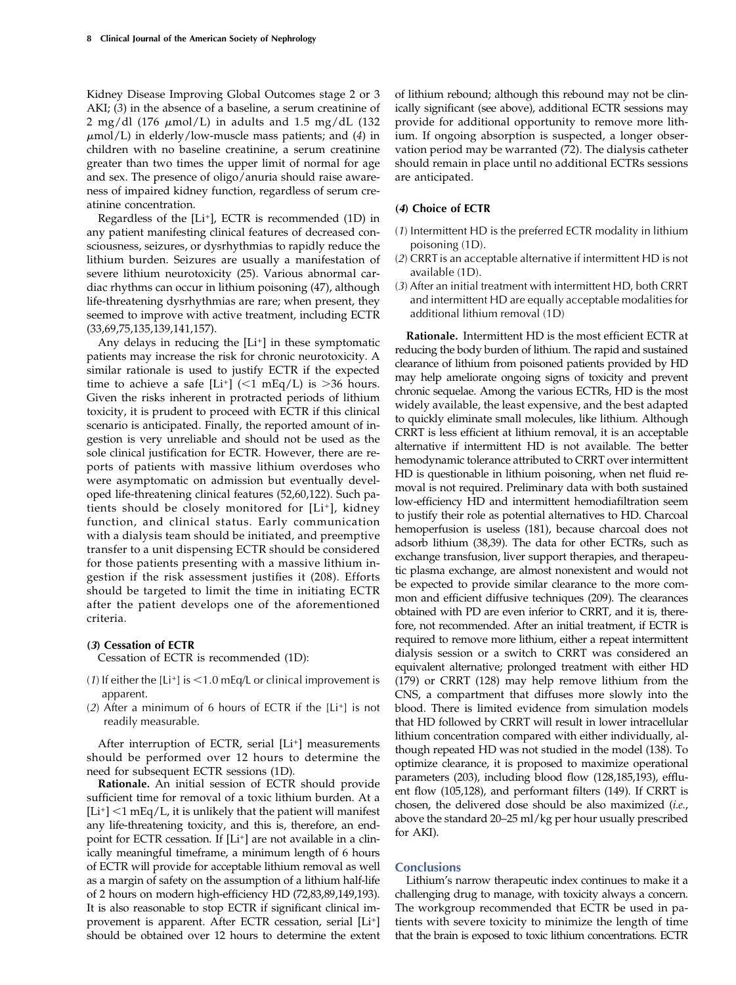Kidney Disease Improving Global Outcomes stage 2 or 3 AKI; (3) in the absence of a baseline, a serum creatinine of 2 mg/dl (176  $\mu$ mol/L) in adults and 1.5 mg/dL (132  $\mu$ mol/L) in elderly/low-muscle mass patients; and (4) in children with no baseline creatinine, a serum creatinine greater than two times the upper limit of normal for age and sex. The presence of oligo/anuria should raise awareness of impaired kidney function, regardless of serum creatinine concentration.

Regardless of the [Li+], ECTR is recommended (1D) in any patient manifesting clinical features of decreased consciousness, seizures, or dysrhythmias to rapidly reduce the lithium burden. Seizures are usually a manifestation of severe lithium neurotoxicity (25). Various abnormal cardiac rhythms can occur in lithium poisoning (47), although life-threatening dysrhythmias are rare; when present, they seemed to improve with active treatment, including ECTR (33,69,75,135,139,141,157).

Any delays in reducing the [Li+] in these symptomatic patients may increase the risk for chronic neurotoxicity. A similar rationale is used to justify ECTR if the expected time to achieve a safe [Li<sup>+</sup>] (<1 mEq/L) is >36 hours. Given the risks inherent in protracted periods of lithium toxicity, it is prudent to proceed with ECTR if this clinical scenario is anticipated. Finally, the reported amount of ingestion is very unreliable and should not be used as the sole clinical justification for ECTR. However, there are reports of patients with massive lithium overdoses who were asymptomatic on admission but eventually developed life-threatening clinical features (52,60,122). Such patients should be closely monitored for [Li+], kidney function, and clinical status. Early communication with a dialysis team should be initiated, and preemptive transfer to a unit dispensing ECTR should be considered for those patients presenting with a massive lithium ingestion if the risk assessment justifies it (208). Efforts should be targeted to limit the time in initiating ECTR after the patient develops one of the aforementioned criteria.

## (3) Cessation of ECTR

Cessation of ECTR is recommended (1D):

- (1) If either the [Li<sup>+</sup>] is <1.0 mEq/L or clinical improvement is apparent.
- (2) After a minimum of 6 hours of ECTR if the [Li+] is not readily measurable.

After interruption of ECTR, serial [Li<sup>+</sup>] measurements should be performed over 12 hours to determine the need for subsequent ECTR sessions (1D).

Rationale. An initial session of ECTR should provide sufficient time for removal of a toxic lithium burden. At a  $[Li^+] < 1$  mEq/L, it is unlikely that the patient will manifest any life-threatening toxicity, and this is, therefore, an endpoint for ECTR cessation. If [Li+] are not available in a clinically meaningful timeframe, a minimum length of 6 hours of ECTR will provide for acceptable lithium removal as well as a margin of safety on the assumption of a lithium half-life of 2 hours on modern high-efficiency HD (72,83,89,149,193). It is also reasonable to stop ECTR if significant clinical improvement is apparent. After ECTR cessation, serial [Li+] should be obtained over 12 hours to determine the extent of lithium rebound; although this rebound may not be clinically significant (see above), additional ECTR sessions may provide for additional opportunity to remove more lithium. If ongoing absorption is suspected, a longer observation period may be warranted (72). The dialysis catheter should remain in place until no additional ECTRs sessions are anticipated.

# (4) Choice of ECTR

- (1) Intermittent HD is the preferred ECTR modality in lithium poisoning (1D).
- (2) CRRT is an acceptable alternative if intermittent HD is not available (1D).
- (3) After an initial treatment with intermittent HD, both CRRT and intermittent HD are equally acceptable modalities for additional lithium removal (1D)

Rationale. Intermittent HD is the most efficient ECTR at reducing the body burden of lithium. The rapid and sustained clearance of lithium from poisoned patients provided by HD may help ameliorate ongoing signs of toxicity and prevent chronic sequelae. Among the various ECTRs, HD is the most widely available, the least expensive, and the best adapted to quickly eliminate small molecules, like lithium. Although CRRT is less efficient at lithium removal, it is an acceptable alternative if intermittent HD is not available. The better hemodynamic tolerance attributed to CRRT over intermittent HD is questionable in lithium poisoning, when net fluid removal is not required. Preliminary data with both sustained low-efficiency HD and intermittent hemodiafiltration seem to justify their role as potential alternatives to HD. Charcoal hemoperfusion is useless (181), because charcoal does not adsorb lithium (38,39). The data for other ECTRs, such as exchange transfusion, liver support therapies, and therapeutic plasma exchange, are almost nonexistent and would not be expected to provide similar clearance to the more common and efficient diffusive techniques (209). The clearances obtained with PD are even inferior to CRRT, and it is, therefore, not recommended. After an initial treatment, if ECTR is required to remove more lithium, either a repeat intermittent dialysis session or a switch to CRRT was considered an equivalent alternative; prolonged treatment with either HD (179) or CRRT (128) may help remove lithium from the CNS, a compartment that diffuses more slowly into the blood. There is limited evidence from simulation models that HD followed by CRRT will result in lower intracellular lithium concentration compared with either individually, although repeated HD was not studied in the model (138). To optimize clearance, it is proposed to maximize operational parameters (203), including blood flow (128,185,193), effluent flow (105,128), and performant filters (149). If CRRT is chosen, the delivered dose should be also maximized (i.e., above the standard 20–25 ml/kg per hour usually prescribed for AKI).

# **Conclusions**

Lithium's narrow therapeutic index continues to make it a challenging drug to manage, with toxicity always a concern. The workgroup recommended that ECTR be used in patients with severe toxicity to minimize the length of time that the brain is exposed to toxic lithium concentrations. ECTR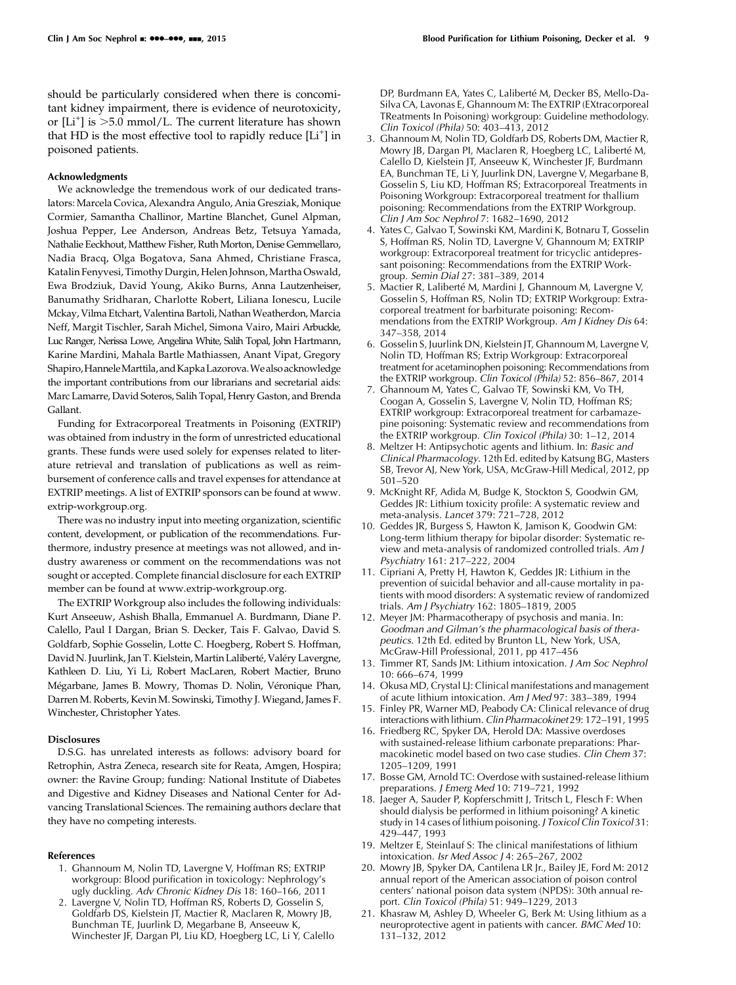should be particularly considered when there is concomitant kidney impairment, there is evidence of neurotoxicity, or  $[L_i^+]$  is  $>5.0$  mmol/L. The current literature has shown that HD is the most effective tool to rapidly reduce [Li<sup>+</sup>] in poisoned patients.

### Acknowledgments

We acknowledge the tremendous work of our dedicated translators: Marcela Covica, Alexandra Angulo, Ania Gresziak, Monique Cormier, Samantha Challinor, Martine Blanchet, Gunel Alpman, Joshua Pepper, Lee Anderson, Andreas Betz, Tetsuya Yamada, Nathalie Eeckhout, Matthew Fisher, Ruth Morton, Denise Gemmellaro, Nadia Bracq, Olga Bogatova, Sana Ahmed, Christiane Frasca, Katalin Fenyvesi, Timothy Durgin, Helen Johnson, Martha Oswald, Ewa Brodziuk, David Young, Akiko Burns, Anna Lautzenheiser, Banumathy Sridharan, Charlotte Robert, Liliana Ionescu, Lucile Mckay, Vilma Etchart, Valentina Bartoli, Nathan Weatherdon, Marcia Neff, Margit Tischler, Sarah Michel, Simona Vairo, Mairi Arbuckle, Luc Ranger, Nerissa Lowe, Angelina White, Salih Topal, John Hartmann, Karine Mardini, Mahala Bartle Mathiassen, Anant Vipat, Gregory Shapiro, Hannele Marttila, and Kapka Lazorova. We also acknowledge the important contributions from our librarians and secretarial aids: Marc Lamarre, David Soteros, Salih Topal, Henry Gaston, and Brenda Gallant.

Funding for Extracorporeal Treatments in Poisoning (EXTRIP) was obtained from industry in the form of unrestricted educational grants. These funds were used solely for expenses related to literature retrieval and translation of publications as well as reimbursement of conference calls and travel expenses for attendance at EXTRIP meetings. A list of EXTRIP sponsors can be found at [www.](http://www.extrip-workgroup.org) [extrip-workgroup.org](http://www.extrip-workgroup.org).

There was no industry input into meeting organization, scientific content, development, or publication of the recommendations. Furthermore, industry presence at meetings was not allowed, and industry awareness or comment on the recommendations was not sought or accepted. Complete financial disclosure for each EXTRIP member can be found at [www.extrip-workgroup.org](http://www.extrip-workgroup.org).

The EXTRIP Workgroup also includes the following individuals: Kurt Anseeuw, Ashish Bhalla, Emmanuel A. Burdmann, Diane P. Calello, Paul I Dargan, Brian S. Decker, Tais F. Galvao, David S. Goldfarb, Sophie Gosselin, Lotte C. Hoegberg, Robert S. Hoffman, David N. Juurlink, Jan T. Kielstein, Martin Laliberté, Valéry Lavergne, Kathleen D. Liu, Yi Li, Robert MacLaren, Robert Mactier, Bruno Mégarbane, James B. Mowry, Thomas D. Nolin, Véronique Phan, Darren M. Roberts, Kevin M. Sowinski, Timothy J. Wiegand, James F. Winchester, Christopher Yates.

# **Disclosures**

D.S.G. has unrelated interests as follows: advisory board for Retrophin, Astra Zeneca, research site for Reata, Amgen, Hospira; owner: the Ravine Group; funding: National Institute of Diabetes and Digestive and Kidney Diseases and National Center for Advancing Translational Sciences. The remaining authors declare that they have no competing interests.

#### References

- 1. Ghannoum M, Nolin TD, Lavergne V, Hoffman RS; EXTRIP workgroup: Blood purification in toxicology: Nephrology's ugly duckling. Adv Chronic Kidney Dis 18: 160–166, 2011
- 2. Lavergne V, Nolin TD, Hoffman RS, Roberts D, Gosselin S, Goldfarb DS, Kielstein JT, Mactier R, Maclaren R, Mowry JB, Bunchman TE, Juurlink D, Megarbane B, Anseeuw K, Winchester JF, Dargan PI, Liu KD, Hoegberg LC, Li Y, Calello

DP, Burdmann EA, Yates C, Laliberté M, Decker BS, Mello-Da-Silva CA, Lavonas E, Ghannoum M: The EXTRIP (EXtracorporeal TReatments In Poisoning) workgroup: Guideline methodology. Clin Toxicol (Phila) 50: 403–413, 2012

- 3. Ghannoum M, Nolin TD, Goldfarb DS, Roberts DM, Mactier R, Mowry JB, Dargan PI, Maclaren R, Hoegberg LC, Laliberté M, Calello D, Kielstein JT, Anseeuw K, Winchester JF, Burdmann EA, Bunchman TE, Li Y, Juurlink DN, Lavergne V, Megarbane B, Gosselin S, Liu KD, Hoffman RS; Extracorporeal Treatments in Poisoning Workgroup: Extracorporeal treatment for thallium poisoning: Recommendations from the EXTRIP Workgroup. Clin J Am Soc Nephrol 7: 1682–1690, 2012
- 4. Yates C, Galvao T, Sowinski KM, Mardini K, Botnaru T, Gosselin S, Hoffman RS, Nolin TD, Lavergne V, Ghannoum M; EXTRIP workgroup: Extracorporeal treatment for tricyclic antidepressant poisoning: Recommendations from the EXTRIP Workgroup. Semin Dial 27: 381–389, 2014
- 5. Mactier R, Laliberté M, Mardini J, Ghannoum M, Lavergne V, Gosselin S, Hoffman RS, Nolin TD; EXTRIP Workgroup: Extracorporeal treatment for barbiturate poisoning: Recommendations from the EXTRIP Workgroup. Am J Kidney Dis 64: 347–358, 2014
- 6. Gosselin S, Juurlink DN, Kielstein JT, Ghannoum M, Lavergne V, Nolin TD, Hoffman RS; Extrip Workgroup: Extracorporeal treatment for acetaminophen poisoning: Recommendations from the EXTRIP workgroup. Clin Toxicol (Phila) 52: 856-867, 2014
- 7. Ghannoum M, Yates C, Galvao TF, Sowinski KM, Vo TH, Coogan A, Gosselin S, Lavergne V, Nolin TD, Hoffman RS; EXTRIP workgroup: Extracorporeal treatment for carbamazepine poisoning: Systematic review and recommendations from the EXTRIP workgroup. Clin Toxicol (Phila) 30: 1–12, 2014
- 8. Meltzer H: Antipsychotic agents and lithium. In: Basic and Clinical Pharmacology. 12th Ed. edited by Katsung BG, Masters SB, Trevor AJ, New York, USA, McGraw-Hill Medical, 2012, pp 501–520
- 9. McKnight RF, Adida M, Budge K, Stockton S, Goodwin GM, Geddes JR: Lithium toxicity profile: A systematic review and meta-analysis. Lancet 379: 721–728, 2012
- 10. Geddes JR, Burgess S, Hawton K, Jamison K, Goodwin GM: Long-term lithium therapy for bipolar disorder: Systematic review and meta-analysis of randomized controlled trials. Am J Psychiatry 161: 217–222, 2004
- 11. Cipriani A, Pretty H, Hawton K, Geddes JR: Lithium in the prevention of suicidal behavior and all-cause mortality in patients with mood disorders: A systematic review of randomized trials. Am J Psychiatry 162: 1805–1819, 2005
- 12. Meyer JM: Pharmacotherapy of psychosis and mania. In: Goodman and Gilman's the pharmacological basis of therapeutics. 12th Ed. edited by Brunton LL, New York, USA, McGraw-Hill Professional, 2011, pp 417–456
- 13. Timmer RT, Sands JM: Lithium intoxication. J Am Soc Nephrol 10: 666–674, 1999
- 14. Okusa MD, Crystal LJ: Clinical manifestations and management of acute lithium intoxication. Am J Med 97: 383–389, 1994
- 15. Finley PR, Warner MD, Peabody CA: Clinical relevance of drug interactions with lithium. Clin Pharmacokinet 29: 172–191, 1995
- 16. Friedberg RC, Spyker DA, Herold DA: Massive overdoses with sustained-release lithium carbonate preparations: Pharmacokinetic model based on two case studies. Clin Chem 37: 1205–1209, 1991
- 17. Bosse GM, Arnold TC: Overdose with sustained-release lithium preparations. J Emerg Med 10: 719–721, 1992
- 18. Jaeger A, Sauder P, Kopferschmitt J, Tritsch L, Flesch F: When should dialysis be performed in lithium poisoning? A kinetic study in 14 cases of lithium poisoning. J Toxicol Clin Toxicol 31: 429–447, 1993
- 19. Meltzer E, Steinlauf S: The clinical manifestations of lithium intoxication. Isr Med Assoc J 4: 265–267, 2002
- 20. Mowry JB, Spyker DA, Cantilena LR Jr., Bailey JE, Ford M: 2012 annual report of the American association of poison control centers' national poison data system (NPDS): 30th annual report. Clin Toxicol (Phila) 51: 949–1229, 2013
- 21. Khasraw M, Ashley D, Wheeler G, Berk M: Using lithium as a neuroprotective agent in patients with cancer. BMC Med 10: 131–132, 2012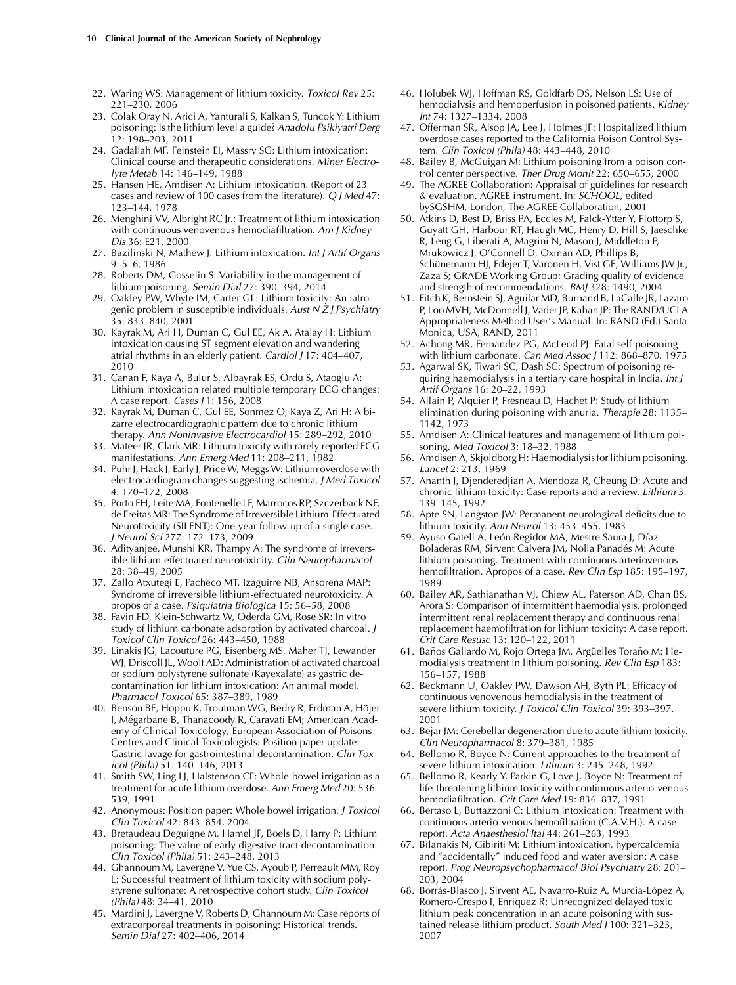- 22. Waring WS: Management of lithium toxicity. Toxicol Rev 25: 221–230, 2006
- 23. Colak Oray N, Arici A, Yanturali S, Kalkan S, Tuncok Y: Lithium poisoning: Is the lithium level a guide? Anadolu Psikiyatri Derg 12: 198–203, 2011
- 24. Gadallah MF, Feinstein EI, Massry SG: Lithium intoxication: Clinical course and therapeutic considerations. Miner Electrolyte Metab 14: 146–149, 1988
- 25. Hansen HE, Amdisen A: Lithium intoxication. (Report of 23 cases and review of 100 cases from the literature). Q J Med 47: 123–144, 1978
- 26. Menghini VV, Albright RC Jr.: Treatment of lithium intoxication with continuous venovenous hemodiafiltration. Am J Kidney Dis 36: E21, 2000
- 27. Bazilinski N, Mathew J: Lithium intoxication. Int J Artif Organs 9: 5–6, 1986
- 28. Roberts DM, Gosselin S: Variability in the management of lithium poisoning. Semin Dial 27: 390–394, 2014
- 29. Oakley PW, Whyte IM, Carter GL: Lithium toxicity: An iatrogenic problem in susceptible individuals. Aust N Z J Psychiatry 35: 833–840, 2001
- 30. Kayrak M, Ari H, Duman C, Gul EE, Ak A, Atalay H: Lithium intoxication causing ST segment elevation and wandering atrial rhythms in an elderly patient. Cardiol J 17: 404-407, 2010
- 31. Canan F, Kaya A, Bulur S, Albayrak ES, Ordu S, Ataoglu A: Lithium intoxication related multiple temporary ECG changes: A case report. Cases J 1: 156, 2008
- 32. Kayrak M, Duman C, Gul EE, Sonmez O, Kaya Z, Ari H: A bizarre electrocardiographic pattern due to chronic lithium therapy. Ann Noninvasive Electrocardiol 15: 289–292, 2010
- 33. Mateer JR, Clark MR: Lithium toxicity with rarely reported ECG manifestations. Ann Emerg Med 11: 208–211, 1982
- 34. Puhr J, Hack J, Early J, Price W, Meggs W: Lithium overdose with electrocardiogram changes suggesting ischemia. J Med Toxicol 4: 170–172, 2008
- 35. Porto FH, Leite MA, Fontenelle LF, Marrocos RP, Szczerback NF, de Freitas MR: The Syndrome of Irreversible Lithium-Effectuated Neurotoxicity (SILENT): One-year follow-up of a single case. J Neurol Sci 277: 172–173, 2009
- 36. Adityanjee, Munshi KR, Thampy A: The syndrome of irreversible lithium-effectuated neurotoxicity. Clin Neuropharmacol 28: 38–49, 2005
- 37. Zallo Atxutegi E, Pacheco MT, Izaguirre NB, Ansorena MAP: Syndrome of irreversible lithium-effectuated neurotoxicity. A propos of a case. Psiquiatria Biologica 15: 56–58, 2008
- 38. Favin FD, Klein-Schwartz W, Oderda GM, Rose SR: In vitro study of lithium carbonate adsorption by activated charcoal. J Toxicol Clin Toxicol 26: 443–450, 1988
- 39. Linakis JG, Lacouture PG, Eisenberg MS, Maher TJ, Lewander WJ, Driscoll JL, Woolf AD: Administration of activated charcoal or sodium polystyrene sulfonate (Kayexalate) as gastric decontamination for lithium intoxication: An animal model. Pharmacol Toxicol 65: 387–389, 1989
- 40. Benson BE, Hoppu K, Troutman WG, Bedry R, Erdman A, Höjer J, Mégarbane B, Thanacoody R, Caravati EM; American Academy of Clinical Toxicology; European Association of Poisons Centres and Clinical Toxicologists: Position paper update: Gastric lavage for gastrointestinal decontamination. Clin Toxicol (Phila) 51: 140–146, 2013
- 41. Smith SW, Ling LJ, Halstenson CE: Whole-bowel irrigation as a treatment for acute lithium overdose. Ann Emerg Med 20: 536– 539, 1991
- 42. Anonymous: Position paper: Whole bowel irrigation. J Toxicol Clin Toxicol 42: 843–854, 2004
- 43. Bretaudeau Deguigne M, Hamel JF, Boels D, Harry P: Lithium poisoning: The value of early digestive tract decontamination. Clin Toxicol (Phila) 51: 243–248, 2013
- 44. Ghannoum M, Lavergne V, Yue CS, Ayoub P, Perreault MM, Roy L: Successful treatment of lithium toxicity with sodium polystyrene sulfonate: A retrospective cohort study. Clin Toxicol (Phila) 48: 34–41, 2010
- 45. Mardini J, Lavergne V, Roberts D, Ghannoum M: Case reports of extracorporeal treatments in poisoning: Historical trends. Semin Dial 27: 402–406, 2014
- 46. Holubek WJ, Hoffman RS, Goldfarb DS, Nelson LS: Use of hemodialysis and hemoperfusion in poisoned patients. Kidney Int 74: 1327–1334, 2008
- 47. Offerman SR, Alsop JA, Lee J, Holmes JF: Hospitalized lithium overdose cases reported to the California Poison Control System. Clin Toxicol (Phila) 48: 443–448, 2010
- 48. Bailey B, McGuigan M: Lithium poisoning from a poison control center perspective. Ther Drug Monit 22: 650–655, 2000
- 49. The AGREE Collaboration: Appraisal of guidelines for research & evaluation. AGREE instrument. In: SCHOOL, edited bySGSHM, London, The AGREE Collaboration, 2001
- 50. Atkins D, Best D, Briss PA, Eccles M, Falck-Ytter Y, Flottorp S, Guyatt GH, Harbour RT, Haugh MC, Henry D, Hill S, Jaeschke R, Leng G, Liberati A, Magrini N, Mason J, Middleton P, Mrukowicz J, O'Connell D, Oxman AD, Phillips B, Schünemann HJ, Edejer T, Varonen H, Vist GE, Williams JW Jr., Zaza S; GRADE Working Group: Grading quality of evidence and strength of recommendations. BMJ 328: 1490, 2004
- 51. Fitch K, Bernstein SJ, Aguilar MD, Burnand B, LaCalle JR, Lazaro P, Loo MVH, McDonnell J, Vader JP, Kahan JP: The RAND/UCLA Appropriateness Method User's Manual. In: RAND (Ed.) Santa Monica, USA, RAND, 2011
- 52. Achong MR, Fernandez PG, McLeod PJ: Fatal self-poisoning with lithium carbonate. Can Med Assoc J 112: 868-870, 1975
- 53. Agarwal SK, Tiwari SC, Dash SC: Spectrum of poisoning requiring haemodialysis in a tertiary care hospital in India. Int J Artif Organs 16: 20–22, 1993
- 54. Allain P, Alquier P, Fresneau D, Hachet P: Study of lithium elimination during poisoning with anuria. Therapie 28: 1135– 1142, 1973
- 55. Amdisen A: Clinical features and management of lithium poisoning. Med Toxicol 3: 18–32, 1988
- 56. Amdisen A, Skjoldborg H: Haemodialysis for lithium poisoning. Lancet 2: 213, 1969
- 57. Ananth J, Djenderedjian A, Mendoza R, Cheung D: Acute and chronic lithium toxicity: Case reports and a review. Lithium 3: 139–145, 1992
- 58. Apte SN, Langston JW: Permanent neurological deficits due to lithium toxicity. Ann Neurol 13: 453–455, 1983
- 59. Ayuso Gatell A, León Regidor MA, Mestre Saura J, Díaz Boladeras RM, Sirvent Calvera JM, Nolla Panadés M: Acute lithium poisoning. Treatment with continuous arteriovenous hemofiltration. Apropos of a case. Rev Clin Esp 185: 195-197, 1989
- 60. Bailey AR, Sathianathan VJ, Chiew AL, Paterson AD, Chan BS, Arora S: Comparison of intermittent haemodialysis, prolonged intermittent renal replacement therapy and continuous renal replacement haemofiltration for lithium toxicity: A case report. Crit Care Resusc 13: 120–122, 2011
- 61. Baños Gallardo M, Rojo Ortega JM, Argüelles Toraño M: Hemodialysis treatment in lithium poisoning. Rev Clin Esp 183: 156–157, 1988
- 62. Beckmann U, Oakley PW, Dawson AH, Byth PL: Efficacy of continuous venovenous hemodialysis in the treatment of severe lithium toxicity. J Toxicol Clin Toxicol 39: 393–397, 2001
- 63. Bejar JM: Cerebellar degeneration due to acute lithium toxicity. Clin Neuropharmacol 8: 379–381, 1985
- 64. Bellomo R, Boyce N: Current approaches to the treatment of severe lithium intoxication. Lithium 3: 245–248, 1992
- 65. Bellomo R, Kearly Y, Parkin G, Love J, Boyce N: Treatment of life-threatening lithium toxicity with continuous arterio-venous hemodiafiltration. Crit Care Med 19: 836–837, 1991
- 66. Bertaso L, Buttazzoni C: Lithium intoxication: Treatment with continuous arterio-venous hemofiltration (C.A.V.H.). A case report. Acta Anaesthesiol Ital 44: 261–263, 1993
- 67. Bilanakis N, Gibiriti M: Lithium intoxication, hypercalcemia and "accidentally" induced food and water aversion: A case report. Prog Neuropsychopharmacol Biol Psychiatry 28: 201– 203, 2004
- 68. Borrás-Blasco J, Sirvent AE, Navarro-Ruiz A, Murcia-López A, Romero-Crespo I, Enriquez R: Unrecognized delayed toxic lithium peak concentration in an acute poisoning with sustained release lithium product. South Med J 100: 321-323, 2007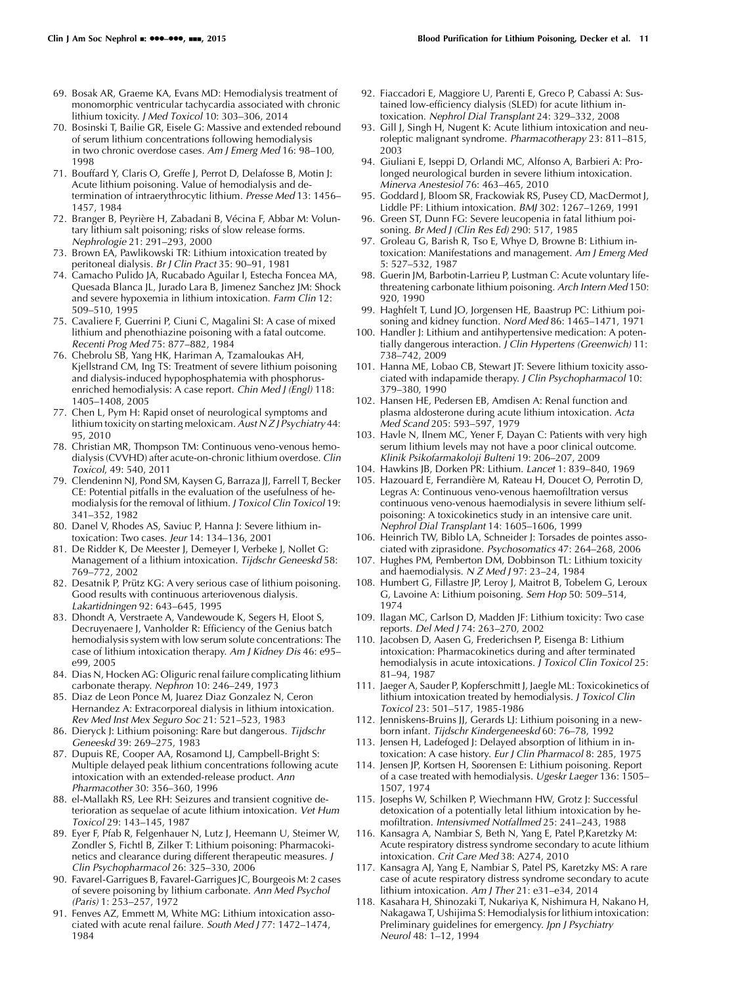- 69. Bosak AR, Graeme KA, Evans MD: Hemodialysis treatment of monomorphic ventricular tachycardia associated with chronic lithium toxicity. J Med Toxicol 10: 303–306, 2014
- 70. Bosinski T, Bailie GR, Eisele G: Massive and extended rebound of serum lithium concentrations following hemodialysis in two chronic overdose cases. Am J Emerg Med 16: 98–100, 1998
- 71. Bouffard Y, Claris O, Greffe J, Perrot D, Delafosse B, Motin J: Acute lithium poisoning. Value of hemodialysis and determination of intraerythrocytic lithium. Presse Med 13: 1456– 1457, 1984
- 72. Branger B, Peyrière H, Zabadani B, Vécina F, Abbar M: Voluntary lithium salt poisoning; risks of slow release forms. Nephrologie 21: 291–293, 2000
- 73. Brown EA, Pawlikowski TR: Lithium intoxication treated by peritoneal dialysis. Br J Clin Pract 35: 90–91, 1981
- 74. Camacho Pulido JA, Rucabado Aguilar I, Estecha Foncea MA, Quesada Blanca JL, Jurado Lara B, Jimenez Sanchez JM: Shock and severe hypoxemia in lithium intoxication. Farm Clin 12: 509–510, 1995
- 75. Cavaliere F, Guerrini P, Ciuni C, Magalini SI: A case of mixed lithium and phenothiazine poisoning with a fatal outcome. Recenti Prog Med 75: 877–882, 1984
- 76. Chebrolu SB, Yang HK, Hariman A, Tzamaloukas AH, Kjellstrand CM, Ing TS: Treatment of severe lithium poisoning and dialysis-induced hypophosphatemia with phosphorusenriched hemodialysis: A case report. Chin Med J (Engl) 118: 1405–1408, 2005
- 77. Chen L, Pym H: Rapid onset of neurological symptoms and lithium toxicity on starting meloxicam. Aust NZJ Psychiatry 44: 95, 2010
- 78. Christian MR, Thompson TM: Continuous veno-venous hemodialysis (CVVHD) after acute-on-chronic lithium overdose. Clin Toxicol, 49: 540, 2011
- 79. Clendeninn NJ, Pond SM, Kaysen G, Barraza JJ, Farrell T, Becker CE: Potential pitfalls in the evaluation of the usefulness of hemodialysis for the removal of lithium. J Toxicol Clin Toxicol 19: 341–352, 1982
- 80. Danel V, Rhodes AS, Saviuc P, Hanna J: Severe lithium intoxication: Two cases. Jeur 14: 134–136, 2001
- 81. De Ridder K, De Meester J, Demeyer I, Verbeke J, Nollet G: Management of a lithium intoxication. Tijdschr Geneeskd 58: 769–772, 2002
- 82. Desatnik P, Prütz KG: A very serious case of lithium poisoning. Good results with continuous arteriovenous dialysis. Lakartidningen 92: 643–645, 1995
- 83. Dhondt A, Verstraete A, Vandewoude K, Segers H, Eloot S, Decruyenaere J, Vanholder R: Efficiency of the Genius batch hemodialysis system with low serum solute concentrations: The case of lithium intoxication therapy. Am J Kidney Dis 46: e95– e99, 2005
- 84. Dias N, Hocken AG: Oliguric renal failure complicating lithium carbonate therapy. Nephron 10: 246–249, 1973
- 85. Diaz de Leon Ponce M, Juarez Diaz Gonzalez N, Ceron Hernandez A: Extracorporeal dialysis in lithium intoxication. Rev Med Inst Mex Seguro Soc 21: 521–523, 1983
- 86. Dieryck J: Lithium poisoning: Rare but dangerous. Tijdschr Geneeskd 39: 269-275, 1983
- 87. Dupuis RE, Cooper AA, Rosamond LJ, Campbell-Bright S: Multiple delayed peak lithium concentrations following acute intoxication with an extended-release product. Ann Pharmacother 30: 356–360, 1996
- 88. el-Mallakh RS, Lee RH: Seizures and transient cognitive deterioration as sequelae of acute lithium intoxication. Vet Hum Toxicol 29: 143–145, 1987
- 89. Eyer F, Pfab R, Felgenhauer N, Lutz J, Heemann U, Steimer W, Zondler S, Fichtl B, Zilker T: Lithium poisoning: Pharmacokinetics and clearance during different therapeutic measures. J Clin Psychopharmacol 26: 325–330, 2006
- 90. Favarel-Garrigues B, Favarel-Garrigues JC, Bourgeois M: 2 cases of severe poisoning by lithium carbonate. Ann Med Psychol (Paris) 1: 253–257, 1972
- 91. Fenves AZ, Emmett M, White MG: Lithium intoxication associated with acute renal failure. South Med J 77: 1472–1474, 1984
- 92. Fiaccadori E, Maggiore U, Parenti E, Greco P, Cabassi A: Sustained low-efficiency dialysis (SLED) for acute lithium intoxication. Nephrol Dial Transplant 24: 329–332, 2008
- 93. Gill J, Singh H, Nugent K: Acute lithium intoxication and neuroleptic malignant syndrome. Pharmacotherapy 23: 811–815, 2003
- 94. Giuliani E, Iseppi D, Orlandi MC, Alfonso A, Barbieri A: Prolonged neurological burden in severe lithium intoxication. Minerva Anestesiol 76: 463–465, 2010
- 95. Goddard J, Bloom SR, Frackowiak RS, Pusey CD, MacDermot J, Liddle PF: Lithium intoxication. BMJ 302: 1267–1269, 1991
- 96. Green ST, Dunn FG: Severe leucopenia in fatal lithium poisoning. Br Med J (Clin Res Ed) 290: 517, 1985
- 97. Groleau G, Barish R, Tso E, Whye D, Browne B: Lithium intoxication: Manifestations and management. Am J Emerg Med 5: 527–532, 1987
- 98. Guerin JM, Barbotin-Larrieu P, Lustman C: Acute voluntary lifethreatening carbonate lithium poisoning. Arch Intern Med 150: 920, 1990
- 99. Haghfelt T, Lund JO, Jorgensen HE, Baastrup PC: Lithium poisoning and kidney function. Nord Med 86: 1465–1471, 1971
- 100. Handler J: Lithium and antihypertensive medication: A potentially dangerous interaction. J Clin Hypertens (Greenwich) 11: 738–742, 2009
- 101. Hanna ME, Lobao CB, Stewart JT: Severe lithium toxicity associated with indapamide therapy. J Clin Psychopharmacol 10: 379–380, 1990
- 102. Hansen HE, Pedersen EB, Amdisen A: Renal function and plasma aldosterone during acute lithium intoxication. Acta Med Scand 205: 593–597, 1979
- 103. Havle N, Ilnem MC, Yener F, Dayan C: Patients with very high serum lithium levels may not have a poor clinical outcome. Klinik Psikofarmakoloji Bulteni 19: 206–207, 2009
- 104. Hawkins JB, Dorken PR: Lithium. Lancet 1: 839–840, 1969
- 105. Hazouard E, Ferrandière M, Rateau H, Doucet O, Perrotin D, Legras A: Continuous veno-venous haemofiltration versus continuous veno-venous haemodialysis in severe lithium selfpoisoning: A toxicokinetics study in an intensive care unit. Nephrol Dial Transplant 14: 1605–1606, 1999
- 106. Heinrich TW, Biblo LA, Schneider J: Torsades de pointes associated with ziprasidone. Psychosomatics 47: 264–268, 2006
- 107. Hughes PM, Pemberton DM, Dobbinson TL: Lithium toxicity and haemodialysis. N Z Med J 97: 23-24, 1984
- 108. Humbert G, Fillastre JP, Leroy J, Maitrot B, Tobelem G, Leroux G, Lavoine A: Lithium poisoning. Sem Hop 50: 509–514, 1974
- 109. Ilagan MC, Carlson D, Madden JF: Lithium toxicity: Two case reports. Del Med J 74: 263–270, 2002
- 110. Jacobsen D, Aasen G, Frederichsen P, Eisenga B: Lithium intoxication: Pharmacokinetics during and after terminated hemodialysis in acute intoxications.  $\tilde{J}$  Toxicol Clin Toxicol 25: 81–94, 1987
- 111. Jaeger A, Sauder P, Kopferschmitt J, Jaegle ML: Toxicokinetics of lithium intoxication treated by hemodialysis. *J Toxicol Clin* Toxicol 23: 501–517, 1985-1986
- 112. Jenniskens-Bruins JJ, Gerards LJ: Lithium poisoning in a newborn infant. Tijdschr Kindergeneeskd 60: 76–78, 1992
- 113. Jensen H, Ladefoged J: Delayed absorption of lithium in intoxication: A case history. Eur J Clin Pharmacol 8: 285, 1975
- 114. Jensen JP, Kortsen H, Søorensen E: Lithium poisoning. Report of a case treated with hemodialysis. Ugeskr Laeger 136: 1505– 1507, 1974
- 115. Josephs W, Schilken P, Wiechmann HW, Grotz J: Successful detoxication of a potentially letal lithium intoxication by hemofiltration. Intensivmed Notfallmed 25: 241–243, 1988
- 116. Kansagra A, Nambiar S, Beth N, Yang E, Patel P,Karetzky M: Acute respiratory distress syndrome secondary to acute lithium intoxication. Crit Care Med 38: A274, 2010
- 117. Kansagra AJ, Yang E, Nambiar S, Patel PS, Karetzky MS: A rare case of acute respiratory distress syndrome secondary to acute lithium intoxication. Am J Ther 21: e31–e34, 2014
- 118. Kasahara H, Shinozaki T, Nukariya K, Nishimura H, Nakano H, Nakagawa T, Ushijima S: Hemodialysis for lithium intoxication: Preliminary guidelines for emergency. Jpn J Psychiatry Neurol 48: 1–12, 1994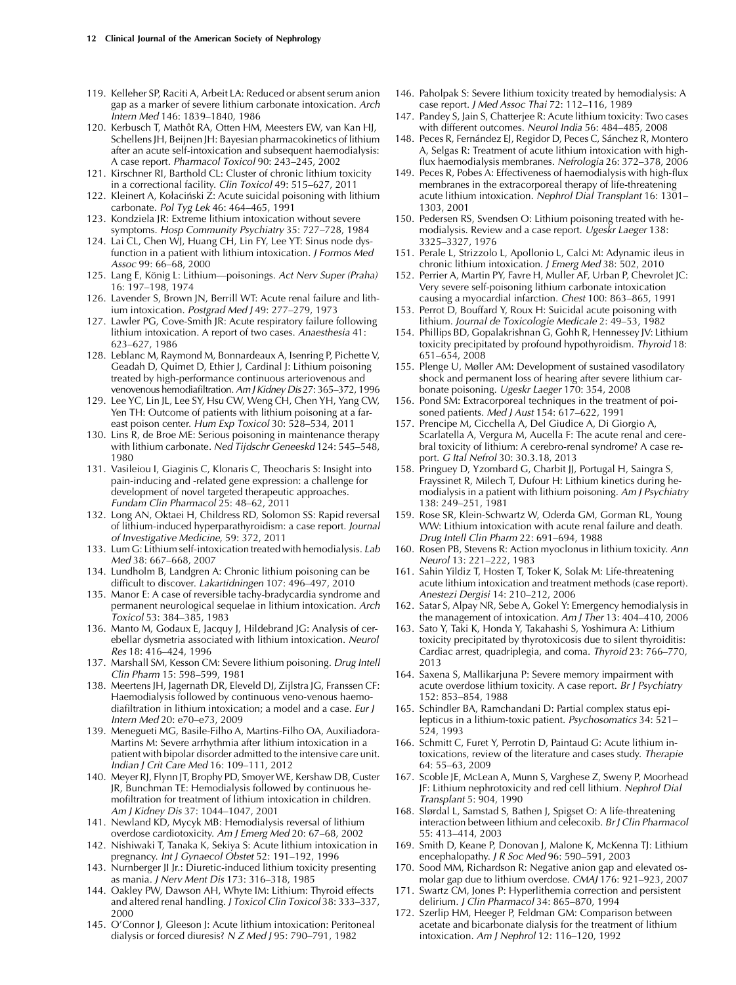- 119. Kelleher SP, Raciti A, Arbeit LA: Reduced or absent serum anion gap as a marker of severe lithium carbonate intoxication. Arch Intern Med 146: 1839–1840, 1986
- 120. Kerbusch T, Mathôt RA, Otten HM, Meesters EW, van Kan HJ, Schellens JH, Beijnen JH: Bayesian pharmacokinetics of lithium after an acute self-intoxication and subsequent haemodialysis: A case report. Pharmacol Toxicol 90: 243–245, 2002
- 121. Kirschner RI, Barthold CL: Cluster of chronic lithium toxicity in a correctional facility. Clin Toxicol 49: 515–627, 2011
- 122. Kleinert A, Kołaciński Z: Acute suicidal poisoning with lithium carbonate. Pol Tyg Lek 46: 464–465, 1991
- 123. Kondziela JR: Extreme lithium intoxication without severe symptoms. Hosp Community Psychiatry 35: 727–728, 1984
- 124. Lai CL, Chen WJ, Huang CH, Lin FY, Lee YT: Sinus node dysfunction in a patient with lithium intoxication. *J Formos Med* Assoc 99: 66–68, 2000
- 125. Lang E, König L: Lithium-poisonings. Act Nerv Super (Praha) 16: 197–198, 1974
- 126. Lavender S, Brown JN, Berrill WT: Acute renal failure and lithium intoxication. Postgrad Med J 49: 277–279, 1973
- 127. Lawler PG, Cove-Smith JR: Acute respiratory failure following lithium intoxication. A report of two cases. Anaesthesia 41: 623–627, 1986
- 128. Leblanc M, Raymond M, Bonnardeaux A, Isenring P, Pichette V, Geadah D, Quimet D, Ethier J, Cardinal J: Lithium poisoning treated by high-performance continuous arteriovenous and venovenous hemodiafiltration. Am J Kidney Dis 27: 365-372, 1996
- 129. Lee YC, Lin JL, Lee SY, Hsu CW, Weng CH, Chen YH, Yang CW, Yen TH: Outcome of patients with lithium poisoning at a fareast poison center. Hum Exp Toxicol 30: 528–534, 2011
- 130. Lins R, de Broe ME: Serious poisoning in maintenance therapy with lithium carbonate. Ned Tijdschr Geneeskd 124: 545–548, 1980
- 131. Vasileiou I, Giaginis C, Klonaris C, Theocharis S: Insight into pain-inducing and -related gene expression: a challenge for development of novel targeted therapeutic approaches. Fundam Clin Pharmacol 25: 48–62, 2011
- 132. Long AN, Oktaei H, Childress RD, Solomon SS: Rapid reversal of lithium-induced hyperparathyroidism: a case report. Journal of Investigative Medicine, 59: 372, 2011
- 133. Lum G: Lithium self-intoxication treated with hemodialysis. Lab Med 38: 667–668, 2007
- 134. Lundholm B, Landgren A: Chronic lithium poisoning can be difficult to discover. Lakartidningen 107: 496–497, 2010
- 135. Manor E: A case of reversible tachy-bradycardia syndrome and permanent neurological sequelae in lithium intoxication. Arch Toxicol 53: 384–385, 1983
- 136. Manto M, Godaux E, Jacquy J, Hildebrand JG: Analysis of cerebellar dysmetria associated with lithium intoxication. Neurol Res 18: 416–424, 1996
- 137. Marshall SM, Kesson CM: Severe lithium poisoning. Drug Intell Clin Pharm 15: 598–599, 1981
- 138. Meertens JH, Jagernath DR, Eleveld DJ, Zijlstra JG, Franssen CF: Haemodialysis followed by continuous veno-venous haemodiafiltration in lithium intoxication; a model and a case. Eur J Intern Med 20: e70–e73, 2009
- 139. Menegueti MG, Basile-Filho A, Martins-Filho OA, Auxiliadora-Martins M: Severe arrhythmia after lithium intoxication in a patient with bipolar disorder admitted to the intensive care unit. Indian J Crit Care Med 16: 109–111, 2012
- 140. Meyer RJ, Flynn JT, Brophy PD, SmoyerWE, Kershaw DB, Custer JR, Bunchman TE: Hemodialysis followed by continuous hemofiltration for treatment of lithium intoxication in children. Am J Kidney Dis 37: 1044–1047, 2001
- 141. Newland KD, Mycyk MB: Hemodialysis reversal of lithium overdose cardiotoxicity. Am J Emerg Med 20: 67–68, 2002
- 142. Nishiwaki T, Tanaka K, Sekiya S: Acute lithium intoxication in pregnancy. Int J Gynaecol Obstet 52: 191–192, 1996
- 143. Nurnberger JI Jr.: Diuretic-induced lithium toxicity presenting as mania. J Nerv Ment Dis 173: 316–318, 1985
- 144. Oakley PW, Dawson AH, Whyte IM: Lithium: Thyroid effects and altered renal handling. J Toxicol Clin Toxicol 38: 333–337, 2000
- 145. O'Connor J, Gleeson J: Acute lithium intoxication: Peritoneal dialysis or forced diuresis? N Z Med J 95: 790–791, 1982
- 146. Paholpak S: Severe lithium toxicity treated by hemodialysis: A case report. J Med Assoc Thai 72: 112–116, 1989
- 147. Pandey S, Jain S, Chatterjee R: Acute lithium toxicity: Two cases with different outcomes. Neurol India 56: 484–485, 2008
- 148. Peces R, Fernández EJ, Regidor D, Peces C, Sánchez R, Montero A, Selgas R: Treatment of acute lithium intoxication with highflux haemodialysis membranes. Nefrologia 26: 372–378, 2006
- 149. Peces R, Pobes A: Effectiveness of haemodialysis with high-flux membranes in the extracorporeal therapy of life-threatening acute lithium intoxication. Nephrol Dial Transplant 16: 1301– 1303, 2001
- 150. Pedersen RS, Svendsen O: Lithium poisoning treated with hemodialysis. Review and a case report. Ugeskr Laeger 138: 3325–3327, 1976
- 151. Perale L, Strizzolo L, Apollonio L, Calci M: Adynamic ileus in chronic lithium intoxication. J Emerg Med 38: 502, 2010
- 152. Perrier A, Martin PY, Favre H, Muller AF, Urban P, Chevrolet JC: Very severe self-poisoning lithium carbonate intoxication causing a myocardial infarction. Chest 100: 863–865, 1991
- 153. Perrot D, Bouffard Y, Roux H: Suicidal acute poisoning with lithium. Journal de Toxicologie Medicale 2: 49–53, 1982
- 154. Phillips BD, Gopalakrishnan G, Gohh R, Hennessey JV: Lithium toxicity precipitated by profound hypothyroidism. Thyroid 18: 651–654, 2008
- 155. Plenge U, Møller AM: Development of sustained vasodilatory shock and permanent loss of hearing after severe lithium carbonate poisoning. Ugeskr Laeger 170: 354, 2008
- 156. Pond SM: Extracorporeal techniques in the treatment of poisoned patients. Med J Aust 154: 617–622, 1991
- 157. Prencipe M, Cicchella A, Del Giudice A, Di Giorgio A, Scarlatella A, Vergura M, Aucella F: The acute renal and cerebral toxicity of lithium: A cerebro-renal syndrome? A case report. G Ital Nefrol 30: 30.3.18, 2013
- 158. Pringuey D, Yzombard G, Charbit JJ, Portugal H, Saingra S, Frayssinet R, Milech T, Dufour H: Lithium kinetics during hemodialysis in a patient with lithium poisoning. Am J Psychiatry 138: 249–251, 1981
- 159. Rose SR, Klein-Schwartz W, Oderda GM, Gorman RL, Young WW: Lithium intoxication with acute renal failure and death. Drug Intell Clin Pharm 22: 691–694, 1988
- 160. Rosen PB, Stevens R: Action myoclonus in lithium toxicity. Ann Neurol 13: 221–222, 1983
- 161. Sahin Yildiz T, Hosten T, Toker K, Solak M: Life-threatening acute lithium intoxication and treatment methods (case report). Anestezi Dergisi 14: 210–212, 2006
- 162. Satar S, Alpay NR, Sebe A, Gokel Y: Emergency hemodialysis in the management of intoxication. Am J Ther 13: 404–410, 2006
- 163. Sato Y, Taki K, Honda Y, Takahashi S, Yoshimura A: Lithium toxicity precipitated by thyrotoxicosis due to silent thyroiditis: Cardiac arrest, quadriplegia, and coma. Thyroid 23: 766–770, 2013
- 164. Saxena S, Mallikarjuna P: Severe memory impairment with acute overdose lithium toxicity. A case report. Br J Psychiatry 152: 853–854, 1988
- 165. Schindler BA, Ramchandani D: Partial complex status epilepticus in a lithium-toxic patient. Psychosomatics 34: 521– 524, 1993
- 166. Schmitt C, Furet Y, Perrotin D, Paintaud G: Acute lithium intoxications, review of the literature and cases study. Therapie 64: 55–63, 2009
- 167. Scoble JE, McLean A, Munn S, Varghese Z, Sweny P, Moorhead JF: Lithium nephrotoxicity and red cell lithium. Nephrol Dial Transplant 5: 904, 1990
- 168. Slørdal L, Samstad S, Bathen J, Spigset O: A life-threatening interaction between lithium and celecoxib. Br J Clin Pharmacol 55: 413–414, 2003
- 169. Smith D, Keane P, Donovan J, Malone K, McKenna TJ: Lithium encephalopathy. J R Soc Med 96: 590-591, 2003
- 170. Sood MM, Richardson R: Negative anion gap and elevated osmolar gap due to lithium overdose. CMAJ 176: 921–923, 2007
- 171. Swartz CM, Jones P: Hyperlithemia correction and persistent delirium. J Clin Pharmacol 34: 865–870, 1994
- 172. Szerlip HM, Heeger P, Feldman GM: Comparison between acetate and bicarbonate dialysis for the treatment of lithium intoxication. Am J Nephrol 12: 116–120, 1992